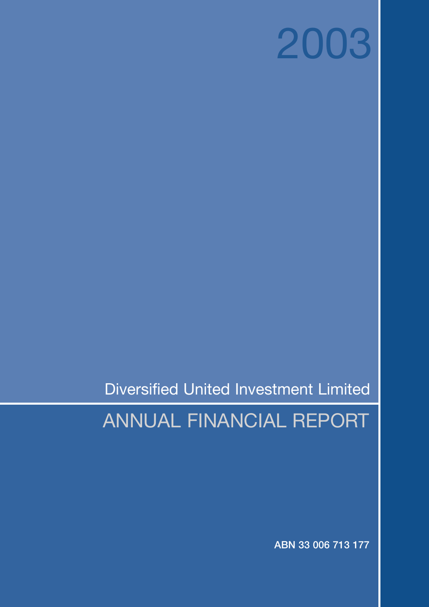# 2003

Diversified United Investment Limited

## ANNUAL FINANCIAL REPORT

ABN 33 006 713 177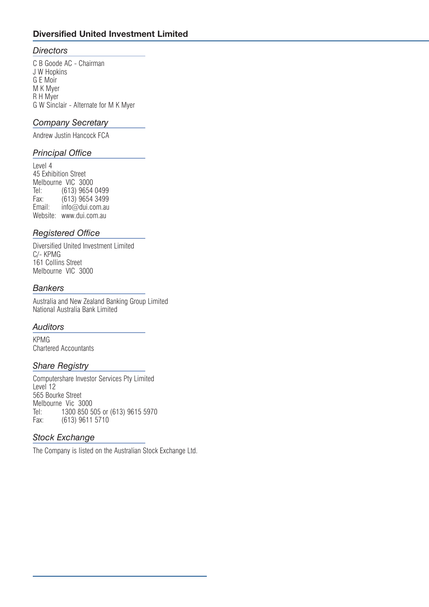### *Directors*

C B Goode AC - Chairman J W Hopkins G E Moir M K Myer R H Myer G W Sinclair - Alternate for M K Myer

### *Company Secretary*

Andrew Justin Hancock FCA

### *Principal Office*

Level 4 45 Exhibition Street Melbourne VIC 3000<br>Tel: (613) 9654 Tel: (613) 9654 0499<br>Fax: (613) 9654 3499 Fax: (613) 9654 3499<br>Email: info@dui.com.au  $info@dui.com.au$ Website: www.dui.com.au

### *Registered Office*

Diversified United Investment Limited C/- KPMG 161 Collins Street Melbourne VIC 3000

### *Bankers*

Australia and New Zealand Banking Group Limited National Australia Bank Limited

### *Auditors*

KPMG Chartered Accountants

### *Share Registry*

Computershare Investor Services Pty Limited Level 12 565 Bourke Street Melbourne Vic 3000<br>Tel: 1300 850 5 Tel: 1300 850 505 or (613) 9615 5970<br>Fax: (613) 9611 5710 (613) 9611 5710

### *Stock Exchange*

The Company is listed on the Australian Stock Exchange Ltd.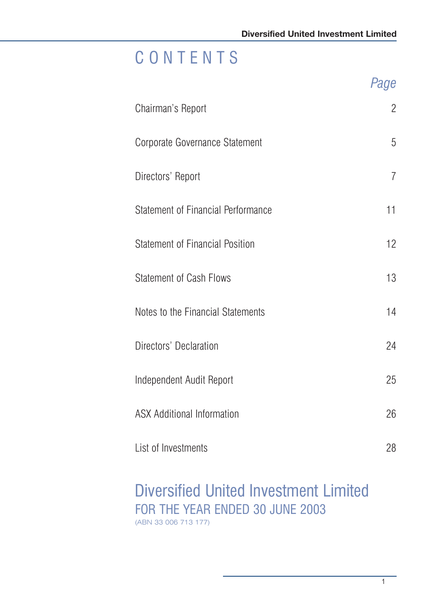## **CONTENTS**

|                                        | Page           |
|----------------------------------------|----------------|
| Chairman's Report                      | $\overline{2}$ |
| Corporate Governance Statement         | 5              |
| Directors' Report                      | $\overline{1}$ |
| Statement of Financial Performance     | 11             |
| <b>Statement of Financial Position</b> | 12             |
| <b>Statement of Cash Flows</b>         | 13             |
| Notes to the Financial Statements      | 14             |
| Directors' Declaration                 | 24             |
| Independent Audit Report               | 25             |
| <b>ASX Additional Information</b>      | 26             |
| List of Investments                    | 28             |

### Diversified United Investment Limited FOR THE YEAR ENDED 30 JUNE 2003 (ABN 33 006 713 177)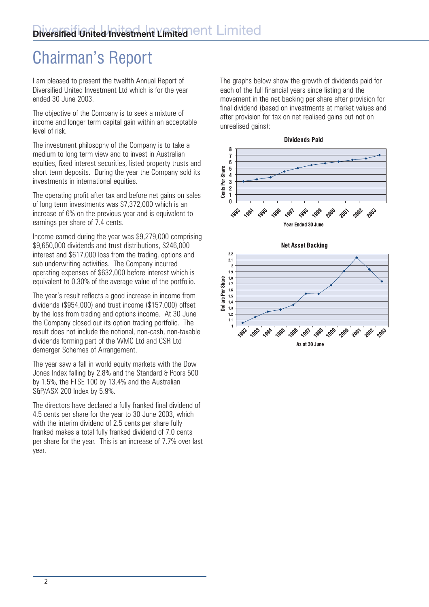## Chairman's Report

I am pleased to present the twelfth Annual Report of Diversified United Investment Ltd which is for the year ended 30 June 2003.

The objective of the Company is to seek a mixture of income and longer term capital gain within an acceptable level of risk.

The investment philosophy of the Company is to take a medium to long term view and to invest in Australian equities, fixed interest securities, listed property trusts and short term deposits. During the year the Company sold its investments in international equities.

The operating profit after tax and before net gains on sales of long term investments was \$7,372,000 which is an increase of 6% on the previous year and is equivalent to earnings per share of 7.4 cents.

Income earned during the year was \$9,279,000 comprising \$9,650,000 dividends and trust distributions, \$246,000 interest and \$617,000 loss from the trading, options and sub underwriting activities. The Company incurred operating expenses of \$632,000 before interest which is equivalent to 0.30% of the average value of the portfolio.

The year's result reflects a good increase in income from dividends (\$954,000) and trust income (\$157,000) offset by the loss from trading and options income. At 30 June the Company closed out its option trading portfolio. The result does not include the notional, non-cash, non-taxable dividends forming part of the WMC Ltd and CSR Ltd demerger Schemes of Arrangement.

The year saw a fall in world equity markets with the Dow Jones Index falling by 2.8% and the Standard & Poors 500 by 1.5%, the FTSE 100 by 13.4% and the Australian S&P/ASX 200 Index by 5.9%.

The directors have declared a fully franked final dividend of 4.5 cents per share for the year to 30 June 2003, which with the interim dividend of 2.5 cents per share fully franked makes a total fully franked dividend of 7.0 cents per share for the year. This is an increase of 7.7% over last year.

The graphs below show the growth of dividends paid for each of the full financial years since listing and the movement in the net backing per share after provision for final dividend (based on investments at market values and after provision for tax on net realised gains but not on unrealised gains):

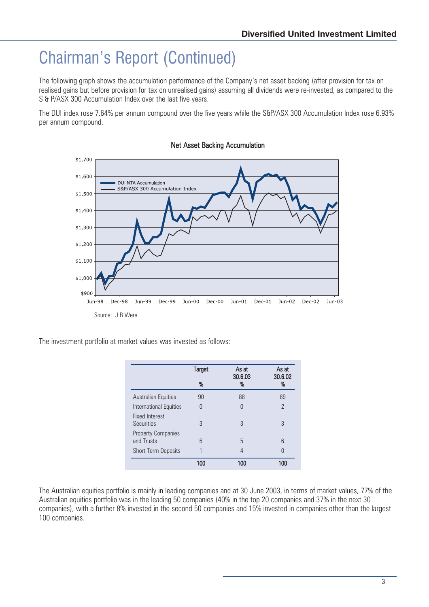## Chairman's Report (Continued)

The following graph shows the accumulation performance of the Company's net asset backing (after provision for tax on realised gains but before provision for tax on unrealised gains) assuming all dividends were re-invested, as compared to the S & P/ASX 300 Accumulation Index over the last five years.

The DUI index rose 7.64% per annum compound over the five years while the S&P/ASX 300 Accumulation Index rose 6.93% per annum compound.



#### Net Asset Backing Accumulation

The investment portfolio at market values was invested as follows:

|                                         | <b>Target</b> | As at<br>30.6.03 | As at<br>30.6.02 |
|-----------------------------------------|---------------|------------------|------------------|
|                                         | %             | %                | %                |
| <b>Australian Equities</b>              | 90            | 88               | 89               |
| International Equities                  | Ŋ             | $\Omega$         | $\overline{2}$   |
| <b>Fixed Interest</b><br>Securities     | 3             | 3                | 3                |
| <b>Property Companies</b><br>and Trusts | 6             | 5                | 6                |
| <b>Short Term Deposits</b>              |               | 4                |                  |
|                                         | 100           | 100              | 100              |

The Australian equities portfolio is mainly in leading companies and at 30 June 2003, in terms of market values, 77% of the Australian equities portfolio was in the leading 50 companies (40% in the top 20 companies and 37% in the next 30 companies), with a further 8% invested in the second 50 companies and 15% invested in companies other than the largest 100 companies.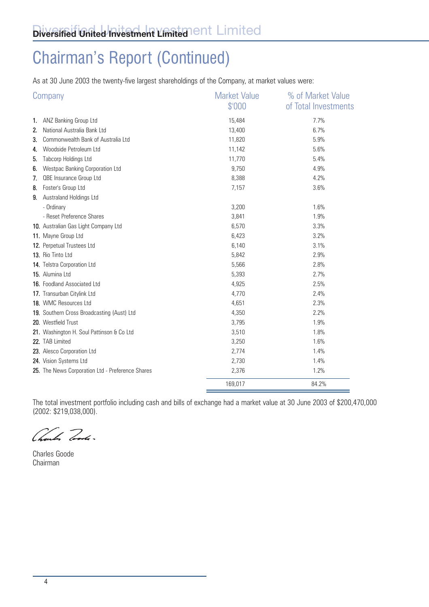## Chairman's Report (Continued)

As at 30 June 2003 the twenty-five largest shareholdings of the Company, at market values were:

|          | Company                                              | <b>Market Value</b><br>\$'000 | % of Market Value<br>of Total Investments |
|----------|------------------------------------------------------|-------------------------------|-------------------------------------------|
| 1.<br>2. | ANZ Banking Group Ltd<br>National Australia Bank Ltd | 15,484<br>13,400              | 7.7%<br>6.7%                              |
| 3.       | Commonwealth Bank of Australia Ltd                   | 11,820                        | 5.9%                                      |
| 4.       | Woodside Petroleum Ltd                               | 11,142                        | 5.6%                                      |
| 5.       | Tabcorp Holdings Ltd                                 | 11,770                        | 5.4%                                      |
| 6.       | Westpac Banking Corporation Ltd                      | 9,750                         | 4.9%                                      |
| 7.       | <b>QBE</b> Insurance Group Ltd                       | 8,388                         | 4.2%                                      |
| 8.       | Foster's Group Ltd                                   | 7,157                         | 3.6%                                      |
| 9.       | Australand Holdings Ltd                              |                               |                                           |
|          | - Ordinary                                           | 3,200                         | 1.6%                                      |
|          | - Reset Preference Shares                            | 3,841                         | 1.9%                                      |
|          | 10. Australian Gas Light Company Ltd                 | 6,570                         | 3.3%                                      |
|          | 11. Mayne Group Ltd                                  | 6,423                         | 3.2%                                      |
|          | 12. Perpetual Trustees Ltd                           | 6,140                         | 3.1%                                      |
|          | 13. Rio Tinto Ltd                                    | 5,842                         | 2.9%                                      |
|          | 14. Telstra Corporation Ltd                          | 5,566                         | 2.8%                                      |
|          | 15. Alumina Ltd                                      | 5,393                         | 2.7%                                      |
|          | 16. Foodland Associated Ltd                          | 4,925                         | 2.5%                                      |
|          | 17. Transurban Citylink Ltd                          | 4,770                         | 2.4%                                      |
|          | 18. WMC Resources Ltd                                | 4,651                         | 2.3%                                      |
|          | 19. Southern Cross Broadcasting (Aust) Ltd           | 4,350                         | 2.2%                                      |
|          | 20. Westfield Trust                                  | 3,795                         | 1.9%                                      |
|          | 21. Washington H. Soul Pattinson & Co Ltd            | 3,510                         | 1.8%                                      |
|          | 22. TAB Limited                                      | 3,250                         | 1.6%                                      |
|          | 23. Alesco Corporation Ltd                           | 2,774                         | 1.4%                                      |
|          | 24. Vision Systems Ltd                               | 2,730                         | 1.4%                                      |
|          | 25. The News Corporation Ltd - Preference Shares     | 2,376                         | 1.2%                                      |
|          |                                                      | 169,017                       | 84.2%                                     |

The total investment portfolio including cash and bills of exchange had a market value at 30 June 2003 of \$200,470,000 (2002: \$219,038,000).

Charles Tools.

Charles Goode Chairman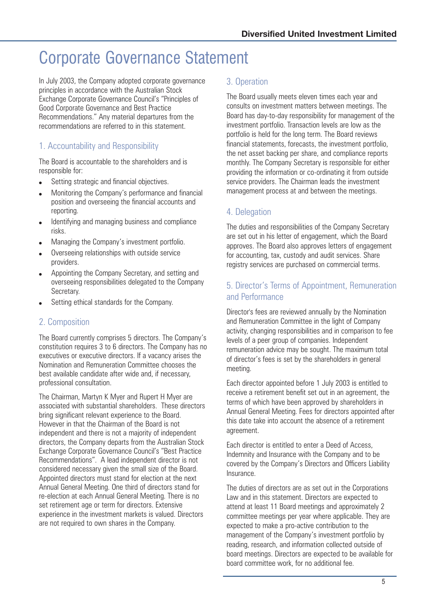## Corporate Governance Statement

In July 2003, the Company adopted corporate governance principles in accordance with the Australian Stock Exchange Corporate Governance Council's "Principles of Good Corporate Governance and Best Practice Recommendations." Any material departures from the recommendations are referred to in this statement.

### 1. Accountability and Responsibility

The Board is accountable to the shareholders and is responsible for:

- Setting strategic and financial objectives.
- Monitoring the Company's performance and financial position and overseeing the financial accounts and reporting.
- Identifying and managing business and compliance risks.
- Managing the Company's investment portfolio.
- Overseeing relationships with outside service providers.
- Appointing the Company Secretary, and setting and overseeing responsibilities delegated to the Company Secretary.
- Setting ethical standards for the Company.

### 2. Composition

The Board currently comprises 5 directors. The Company's constitution requires 3 to 6 directors. The Company has no executives or executive directors. If a vacancy arises the Nomination and Remuneration Committee chooses the best available candidate after wide and, if necessary, professional consultation.

The Chairman, Martyn K Myer and Rupert H Myer are associated with substantial shareholders. These directors bring significant relevant experience to the Board. However in that the Chairman of the Board is not independent and there is not a majority of independent directors, the Company departs from the Australian Stock Exchange Corporate Governance Council's "Best Practice Recommendations". A lead independent director is not considered necessary given the small size of the Board. Appointed directors must stand for election at the next Annual General Meeting. One third of directors stand for re-election at each Annual General Meeting. There is no set retirement age or term for directors. Extensive experience in the investment markets is valued. Directors are not required to own shares in the Company.

### 3. Operation

The Board usually meets eleven times each year and consults on investment matters between meetings. The Board has day-to-day responsibility for management of the investment portfolio. Transaction levels are low as the portfolio is held for the long term. The Board reviews financial statements, forecasts, the investment portfolio, the net asset backing per share, and compliance reports monthly. The Company Secretary is responsible for either providing the information or co-ordinating it from outside service providers. The Chairman leads the investment management process at and between the meetings.

### 4. Delegation

The duties and responsibilities of the Company Secretary are set out in his letter of engagement, which the Board approves. The Board also approves letters of engagement for accounting, tax, custody and audit services. Share registry services are purchased on commercial terms.

### 5. Director's Terms of Appointment, Remuneration and Performance

Director's fees are reviewed annually by the Nomination and Remuneration Committee in the light of Company activity, changing responsibilities and in comparison to fee levels of a peer group of companies. Independent remuneration advice may be sought. The maximum total of director's fees is set by the shareholders in general meeting.

Each director appointed before 1 July 2003 is entitled to receive a retirement benefit set out in an agreement, the terms of which have been approved by shareholders in Annual General Meeting. Fees for directors appointed after this date take into account the absence of a retirement agreement.

Each director is entitled to enter a Deed of Access, Indemnity and Insurance with the Company and to be covered by the Company's Directors and Officers Liability Insurance.

The duties of directors are as set out in the Corporations Law and in this statement. Directors are expected to attend at least 11 Board meetings and approximately 2 committee meetings per year where applicable. They are expected to make a pro-active contribution to the management of the Company's investment portfolio by reading, research, and information collected outside of board meetings. Directors are expected to be available for board committee work, for no additional fee.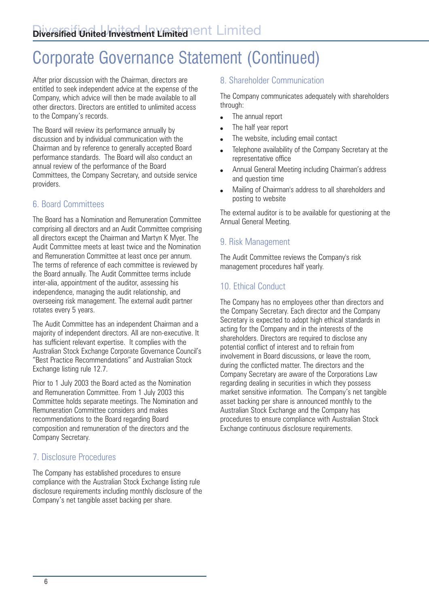## Corporate Governance Statement (Continued)

After prior discussion with the Chairman, directors are entitled to seek independent advice at the expense of the Company, which advice will then be made available to all other directors. Directors are entitled to unlimited access to the Company's records.

The Board will review its performance annually by discussion and by individual communication with the Chairman and by reference to generally accepted Board performance standards. The Board will also conduct an annual review of the performance of the Board Committees, the Company Secretary, and outside service providers.

### 6. Board Committees

The Board has a Nomination and Remuneration Committee comprising all directors and an Audit Committee comprising all directors except the Chairman and Martyn K Myer. The Audit Committee meets at least twice and the Nomination and Remuneration Committee at least once per annum. The terms of reference of each committee is reviewed by the Board annually. The Audit Committee terms include inter-alia, appointment of the auditor, assessing his independence, managing the audit relationship, and overseeing risk management. The external audit partner rotates every 5 years.

The Audit Committee has an independent Chairman and a majority of independent directors. All are non-executive. It has sufficient relevant expertise. It complies with the Australian Stock Exchange Corporate Governance Council's "Best Practice Recommendations" and Australian Stock Exchange listing rule 12.7.

Prior to 1 July 2003 the Board acted as the Nomination and Remuneration Committee. From 1 July 2003 this Committee holds separate meetings. The Nomination and Remuneration Committee considers and makes recommendations to the Board regarding Board composition and remuneration of the directors and the Company Secretary.

### 7. Disclosure Procedures

The Company has established procedures to ensure compliance with the Australian Stock Exchange listing rule disclosure requirements including monthly disclosure of the Company's net tangible asset backing per share.

### 8. Shareholder Communication

The Company communicates adequately with shareholders through:

- The annual report
- The half year report
- The website, including email contact
- Telephone availability of the Company Secretary at the representative office
- Annual General Meeting including Chairman's address and question time
- Mailing of Chairman's address to all shareholders and posting to website

The external auditor is to be available for questioning at the Annual General Meeting.

### 9. Risk Management

The Audit Committee reviews the Company's risk management procedures half yearly.

### 10. Ethical Conduct

The Company has no employees other than directors and the Company Secretary. Each director and the Company Secretary is expected to adopt high ethical standards in acting for the Company and in the interests of the shareholders. Directors are required to disclose any potential conflict of interest and to refrain from involvement in Board discussions, or leave the room, during the conflicted matter. The directors and the Company Secretary are aware of the Corporations Law regarding dealing in securities in which they possess market sensitive information. The Company's net tangible asset backing per share is announced monthly to the Australian Stock Exchange and the Company has procedures to ensure compliance with Australian Stock Exchange continuous disclosure requirements.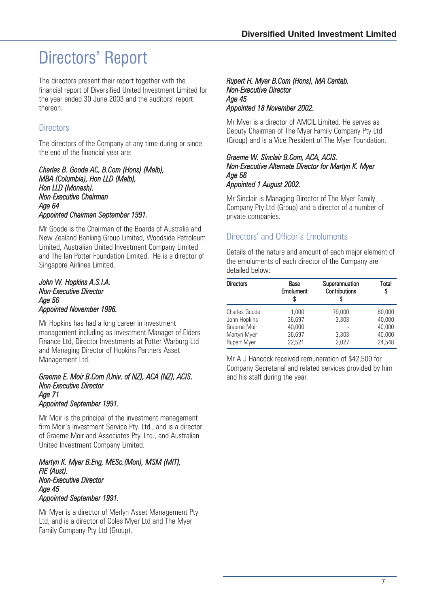## Directors' Report

The directors present their report together with the financial report of Diversified United Investment Limited for the year ended 30 June 2003 and the auditors' report thereon.

### **Directors**

The directors of the Company at any time during or since the end of the financial year are:

#### *Charles B. Goode AC, B.Com (Hons) (Melb), MBA (Columbia), Hon LLD (Melb), Hon LLD (Monash). Non-Executive Chairman Age 64 Appointed Chairman September 1991.*

Mr Goode is the Chairman of the Boards of Australia and New Zealand Banking Group Limited, Woodside Petroleum Limited, Australian United Investment Company Limited and The Ian Potter Foundation Limited. He is a director of Singapore Airlines Limited.

### *John W. Hopkins A.S.I.A. Non-Executive Director Age 56 Appointed November 1996.*

Mr Hopkins has had a long career in investment management including as Investment Manager of Elders Finance Ltd, Director Investments at Potter Warburg Ltd and Managing Director of Hopkins Partners Asset Management Ltd.

#### *Graeme E. Moir B.Com (Univ. of NZ), ACA (NZ), ACIS. Non-Executive Director Age 71 Appointed September 1991.*

Mr Moir is the principal of the investment management firm Moir's Investment Service Pty. Ltd., and is a director of Graeme Moir and Associates Pty. Ltd., and Australian United Investment Company Limited.

### *Martyn K. Myer B.Eng, MESc.(Mon), MSM (MIT), FIE (Aust). Non-Executive Director Age 45 Appointed September 1991.*

Mr Myer is a director of Merlyn Asset Management Pty Ltd, and is a director of Coles Myer Ltd and The Myer Family Company Pty Ltd (Group).

#### *Rupert H. Myer B.Com (Hons), MA Cantab. Non-Executive Director Age 45 Appointed 18 November 2002.*

Mr Myer is a director of AMCIL Limited. He serves as Deputy Chairman of The Myer Family Company Pty Ltd (Group) and is a Vice President of The Myer Foundation.

### *Graeme W. Sinclair B.Com, ACA, ACIS. Non-Executive Alternate Director for Martyn K. Myer Age 56*

### *Appointed 1 August 2002.*

Mr Sinclair is Managing Director of The Myer Family Company Pty Ltd (Group) and a director of a number of private companies.

### Directors' and Officer's Emoluments

Details of the nature and amount of each major element of the emoluments of each director of the Company are detailed below:

| <b>Directors</b>                                 | Base<br><b>Emolument</b><br>S | Superannuation<br>Contributions<br>S | Total<br>\$                |
|--------------------------------------------------|-------------------------------|--------------------------------------|----------------------------|
| Charles Goode<br>John Hopkins                    | 1.000<br>36,697               | 79,000<br>3.303                      | 80.000<br>40.000           |
| Graeme Moir<br>Martyn Myer<br><b>Rupert Myer</b> | 40,000<br>36,697<br>22,521    | 3,303<br>2,027                       | 40,000<br>40,000<br>24,548 |

Mr A J Hancock received remuneration of \$42,500 for Company Secretarial and related services provided by him and his staff during the year.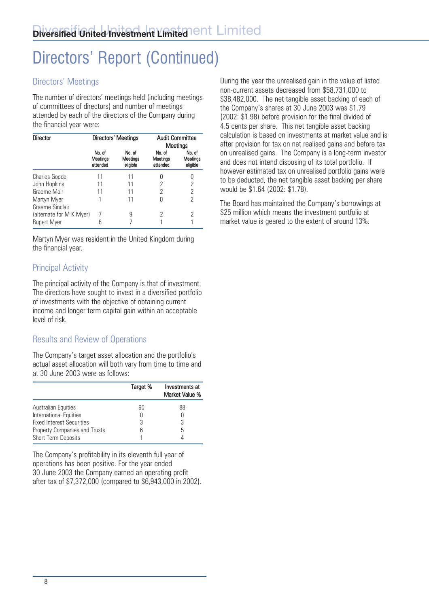## Directors' Report (Continued)

### Directors' Meetings

The number of directors' meetings held (including meetings of committees of directors) and number of meetings attended by each of the directors of the Company during the financial year were:

| <b>Director</b>                | Directors' Meetings                   |                                | <b>Audit Committee</b><br><b>Meetings</b> |                                |
|--------------------------------|---------------------------------------|--------------------------------|-------------------------------------------|--------------------------------|
|                                | No. of<br><b>Meetings</b><br>attended | No. of<br>Meetings<br>eligible | No. of<br><b>Meetings</b><br>attended     | No. of<br>Meetings<br>eligible |
| <b>Charles Goode</b>           | 11                                    | 11                             | 0                                         | $\left( \right)$               |
| John Hopkins                   | 11                                    | 11                             | 2                                         | 2                              |
| Graeme Moir                    | 11                                    | 11                             | 2                                         | 2                              |
| Martyn Myer<br>Graeme Sinclair |                                       | 11                             | N                                         | 2                              |
| (alternate for M K Myer)       |                                       | 9                              | 2                                         | 2                              |
| <b>Rupert Myer</b>             | ჩ                                     |                                |                                           |                                |

Martyn Myer was resident in the United Kingdom during the financial year.

### Principal Activity

The principal activity of the Company is that of investment. The directors have sought to invest in a diversified portfolio of investments with the objective of obtaining current income and longer term capital gain within an acceptable level of risk.

### Results and Review of Operations

The Company's target asset allocation and the portfolio's actual asset allocation will both vary from time to time and at 30 June 2003 were as follows:

|                                  | Target %         | Investments at<br>Market Value % |
|----------------------------------|------------------|----------------------------------|
| Australian Equities              | 90               | 88                               |
| International Equities           | $\left( \right)$ |                                  |
| <b>Fixed Interest Securities</b> | 3                | 3                                |
| Property Companies and Trusts    | 6                | 5                                |
| Short Term Deposits              |                  |                                  |

The Company's profitability in its eleventh full year of operations has been positive. For the year ended 30 June 2003 the Company earned an operating profit after tax of \$7,372,000 (compared to \$6,943,000 in 2002). During the year the unrealised gain in the value of listed non-current assets decreased from \$58,731,000 to \$38,482,000. The net tangible asset backing of each of the Company's shares at 30 June 2003 was \$1.79 (2002: \$1.98) before provision for the final divided of 4.5 cents per share. This net tangible asset backing calculation is based on investments at market value and is after provision for tax on net realised gains and before tax on unrealised gains. The Company is a long-term investor and does not intend disposing of its total portfolio. If however estimated tax on unrealised portfolio gains were to be deducted, the net tangible asset backing per share would be \$1.64 (2002: \$1.78).

The Board has maintained the Company's borrowings at \$25 million which means the investment portfolio at market value is geared to the extent of around 13%.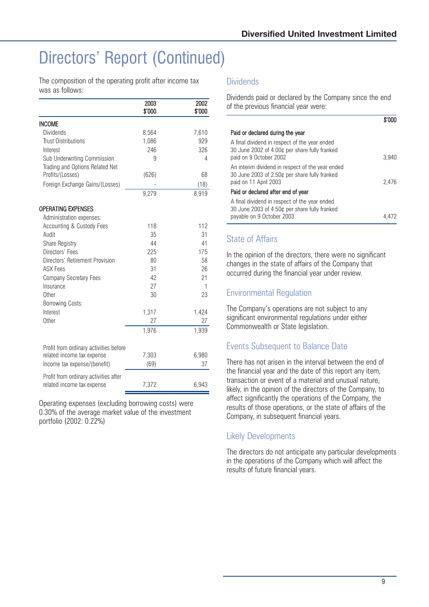## Directors' Report (Continued)

The composition of the operating profit after income tax was as follows:

|                                        | 2003<br>\$'000 | 2002<br>\$'000 |
|----------------------------------------|----------------|----------------|
| INCOME                                 |                |                |
| <b>Dividends</b>                       | 8,564          | 7,610          |
| <b>Trust Distributions</b>             | 1,086          | 929            |
| Interest                               | 246            | 326            |
| Sub Underwriting Commission            | 9              | 4              |
| Trading and Options Related Net        |                |                |
| Profits/(Losses)                       | (626)          | 68             |
| Foreign Exchange Gains/(Losses)        |                | (18)           |
|                                        | 9,279          | 8,919          |
| <b>OPERATING EXPENSES</b>              |                |                |
| Administration expenses:               |                |                |
| Accounting & Custody Fees              | 118            | 112            |
| Audit                                  | 35             | 31             |
| Share Registry                         | 44             | 41             |
| Directors' Fees                        | 225            | 175            |
| Directors' Retirement Provision        | 80             | 58             |
| <b>ASX Fees</b>                        | 31             | 26             |
| <b>Company Secretary Fees</b>          | 42             | 21             |
| Insurance                              | 27             | 1              |
| Other                                  | 30             | 23             |
| Borrowing Costs:                       |                |                |
| Interest                               | 1,317          | 1,424          |
| Other                                  | 27             | 27             |
|                                        | 1,976          | 1,939          |
| Profit from ordinary activities before |                |                |
| related income tax expense             | 7,303          | 6,980          |
| Income tax expense/(benefit)           | (69)           | 37             |
| Profit from ordinary activities after  |                |                |
| related income tax expense             | 7,372          | 6,943          |

Operating expenses (excluding borrowing costs) were 0.30% of the average market value of the investment portfolio (2002: 0.22%)

### **Dividends**

Dividends paid or declared by the Company since the end of the previous financial year were:

| Paid or declared during the year                                                                                            |       |
|-----------------------------------------------------------------------------------------------------------------------------|-------|
| A final dividend in respect of the year ended<br>30 June 2002 of 4.00¢ per share fully franked<br>paid on 9 October 2002    | 3.940 |
| An interim dividend in respect of the year ended<br>30 June 2003 of 2.50¢ per share fully franked<br>paid on 11 April 2003  | 2.476 |
| Paid or declared after end of year                                                                                          |       |
| A final dividend in respect of the year ended<br>30 June 2003 of 4.50¢ per share fully franked<br>payable on 9 October 2003 |       |

### State of Affairs

In the opinion of the directors, there were no significant changes in the state of affairs of the Company that occurred during the financial year under review.

### Environmental Regulation

The Company's operations are not subject to any significant environmental regulations under either Commonwealth or State legislation.

### Events Subsequent to Balance Date

There has not arisen in the interval between the end of the financial year and the date of this report any item, transaction or event of a material and unusual nature, likely, in the opinion of the directors of the Company, to affect significantly the operations of the Company, the results of those operations, or the state of affairs of the Company, in subsequent financial years.

### Likely Developments

The directors do not anticipate any particular developments in the operations of the Company which will affect the results of future financial years.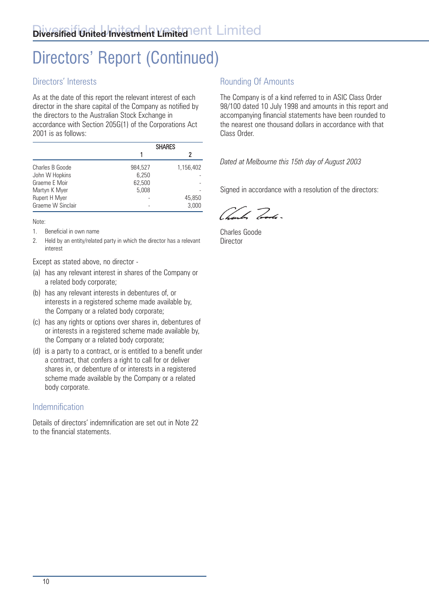## Directors' Report (Continued)

### Directors' Interests

As at the date of this report the relevant interest of each director in the share capital of the Company as notified by the directors to the Australian Stock Exchange in accordance with Section 205G(1) of the Corporations Act 2001 is as follows:

|                        |         | <b>SHARES</b> |
|------------------------|---------|---------------|
|                        |         |               |
| <b>Charles B Goode</b> | 984.527 | 1.156.402     |
| John W Hopkins         | 6.250   |               |
| Graeme E Moir          | 62,500  |               |
| Martyn K Myer          | 5.008   |               |
| Rupert H Myer          |         | 45.850        |
| Graeme W Sinclair      |         | 3.000         |

Note:

- 1. Beneficial in own name
- 2. Held by an entity/related party in which the director has a relevant interest

Except as stated above, no director -

- (a) has any relevant interest in shares of the Company or a related body corporate;
- (b) has any relevant interests in debentures of, or interests in a registered scheme made available by, the Company or a related body corporate;
- (c) has any rights or options over shares in, debentures of or interests in a registered scheme made available by, the Company or a related body corporate;
- (d) is a party to a contract, or is entitled to a benefit under a contract, that confers a right to call for or deliver shares in, or debenture of or interests in a registered scheme made available by the Company or a related body corporate.

### Indemnification

Details of directors' indemnification are set out in Note 22 to the financial statements.

### Rounding Of Amounts

The Company is of a kind referred to in ASIC Class Order 98/100 dated 10 July 1998 and amounts in this report and accompanying financial statements have been rounded to the nearest one thousand dollars in accordance with that Class Order.

*Dated at Melbourne this 15th day of August 2003*

Signed in accordance with a resolution of the directors:

 $\mathbb{Z}$ 

Charles Goode **Director**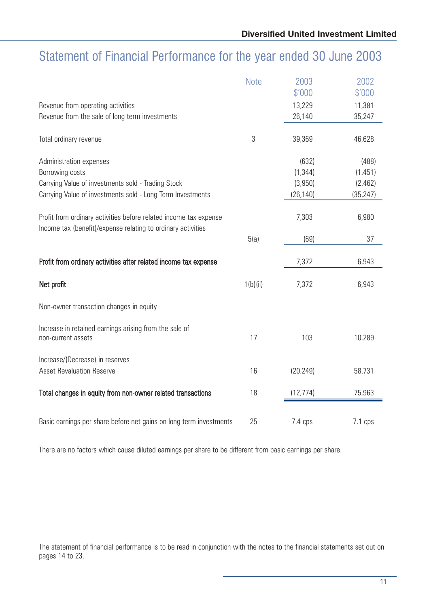### Statement of Financial Performance for the year ended 30 June 2003

|                                                                                                                                   | <b>Note</b> | 2003<br>\$'000 | 2002<br>\$'000 |
|-----------------------------------------------------------------------------------------------------------------------------------|-------------|----------------|----------------|
| Revenue from operating activities                                                                                                 |             | 13,229         | 11,381         |
| Revenue from the sale of long term investments                                                                                    |             | 26,140         | 35,247         |
| Total ordinary revenue                                                                                                            | 3           | 39,369         | 46,628         |
| Administration expenses                                                                                                           |             | (632)          | (488)          |
| Borrowing costs                                                                                                                   |             | (1, 344)       | (1, 451)       |
| Carrying Value of investments sold - Trading Stock                                                                                |             | (3,950)        | (2, 462)       |
| Carrying Value of investments sold - Long Term Investments                                                                        |             | (26, 140)      | (35, 247)      |
| Profit from ordinary activities before related income tax expense<br>Income tax (benefit)/expense relating to ordinary activities |             | 7,303          | 6,980          |
|                                                                                                                                   | 5(a)        | (69)           | 37             |
| Profit from ordinary activities after related income tax expense                                                                  |             | 7,372          | 6,943          |
| Net profit                                                                                                                        | 1(b)(ii)    | 7,372          | 6,943          |
| Non-owner transaction changes in equity                                                                                           |             |                |                |
| Increase in retained earnings arising from the sale of<br>non-current assets                                                      | 17          | 103            | 10,289         |
| Increase/(Decrease) in reserves                                                                                                   |             |                |                |
| <b>Asset Revaluation Reserve</b>                                                                                                  | 16          | (20, 249)      | 58,731         |
| Total changes in equity from non-owner related transactions                                                                       | 18          | (12, 774)      | 75,963         |
| Basic earnings per share before net gains on long term investments                                                                | 25          | $7.4$ cps      | $7.1$ cps      |

There are no factors which cause diluted earnings per share to be different from basic earnings per share.

The statement of financial performance is to be read in conjunction with the notes to the financial statements set out on pages 14 to 23.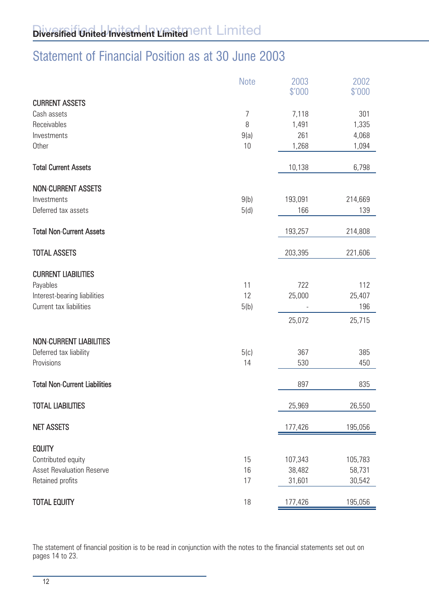### Statement of Financial Position as at 30 June 2003

|                                      | <b>Note</b> | 2003<br>\$'000 | 2002<br>\$'000 |
|--------------------------------------|-------------|----------------|----------------|
| <b>CURRENT ASSETS</b>                |             |                |                |
| Cash assets                          | 7           | 7,118          | 301            |
| Receivables                          | 8           | 1,491          | 1,335          |
| Investments                          | 9(a)        | 261            | 4,068          |
| Other                                | 10          | 1,268          | 1,094          |
| <b>Total Current Assets</b>          |             | 10,138         | 6,798          |
| <b>NON-CURRENT ASSETS</b>            |             |                |                |
| Investments                          | 9(b)        | 193,091        | 214,669        |
| Deferred tax assets                  | 5(d)        | 166            | 139            |
| <b>Total Non-Current Assets</b>      |             | 193,257        | 214,808        |
| <b>TOTAL ASSETS</b>                  |             | 203,395        | 221,606        |
| <b>CURRENT LIABILITIES</b>           |             |                |                |
| Payables                             | 11          | 722            | 112            |
| Interest-bearing liabilities         | 12          | 25,000         | 25,407         |
| Current tax liabilities              | 5(b)        |                | 196            |
|                                      |             | 25,072         | 25,715         |
| <b>NON-CURRENT LIABILITIES</b>       |             |                |                |
| Deferred tax liability               | 5(c)        | 367            | 385            |
| Provisions                           | 14          | 530            | 450            |
| <b>Total Non-Current Liabilities</b> |             | 897            | 835            |
| <b>TOTAL LIABILITIES</b>             |             | 25,969         | 26,550         |
| <b>NET ASSETS</b>                    |             | 177,426        | 195,056        |
| <b>EQUITY</b>                        |             |                |                |
| Contributed equity                   | 15          | 107,343        | 105,783        |
| <b>Asset Revaluation Reserve</b>     | 16          | 38,482         | 58,731         |
| Retained profits                     | 17          | 31,601         | 30,542         |
| <b>TOTAL EQUITY</b>                  | 18          | 177,426        | 195,056        |

The statement of financial position is to be read in conjunction with the notes to the financial statements set out on pages 14 to 23.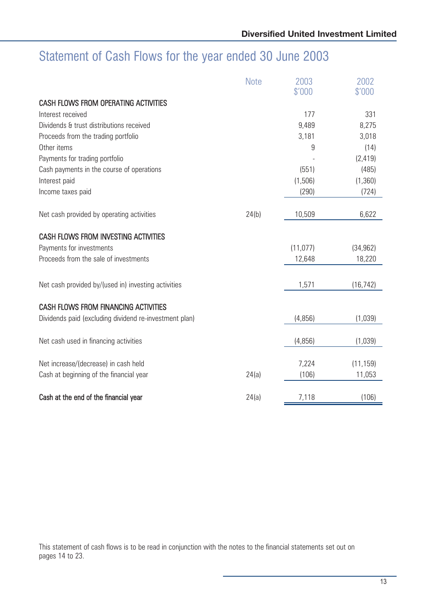### Statement of Cash Flows for the year ended 30 June 2003

| <b>Note</b><br>2003 | 2002                                                                                                                                                                                |
|---------------------|-------------------------------------------------------------------------------------------------------------------------------------------------------------------------------------|
|                     | \$'000                                                                                                                                                                              |
|                     |                                                                                                                                                                                     |
|                     | 331                                                                                                                                                                                 |
|                     | 8,275                                                                                                                                                                               |
|                     | 3,018                                                                                                                                                                               |
|                     | 9<br>(14)                                                                                                                                                                           |
|                     | (2, 419)                                                                                                                                                                            |
|                     | (485)                                                                                                                                                                               |
|                     | (1,360)                                                                                                                                                                             |
|                     | (724)                                                                                                                                                                               |
|                     | 6,622                                                                                                                                                                               |
|                     |                                                                                                                                                                                     |
|                     | (34, 962)                                                                                                                                                                           |
|                     | 18,220                                                                                                                                                                              |
|                     |                                                                                                                                                                                     |
|                     | (16, 742)                                                                                                                                                                           |
|                     |                                                                                                                                                                                     |
|                     | (1,039)                                                                                                                                                                             |
|                     | (1,039)                                                                                                                                                                             |
|                     |                                                                                                                                                                                     |
|                     | (11, 159)                                                                                                                                                                           |
|                     | 11,053                                                                                                                                                                              |
|                     | (106)                                                                                                                                                                               |
|                     | \$'000<br>177<br>9,489<br>3,181<br>(551)<br>(1,506)<br>(290)<br>24(b)<br>10,509<br>(11, 077)<br>12,648<br>1,571<br>(4,856)<br>(4, 856)<br>7,224<br>24(a)<br>(106)<br>24(a)<br>7,118 |

This statement of cash flows is to be read in conjunction with the notes to the financial statements set out on pages 14 to 23.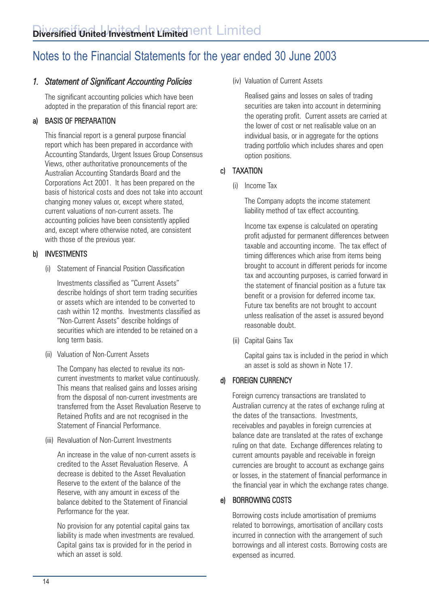### *1. Statement of Significant Accounting Policies*

The significant accounting policies which have been adopted in the preparation of this financial report are:

### a) BASIS OF PREPARATION

This financial report is a general purpose financial report which has been prepared in accordance with Accounting Standards, Urgent Issues Group Consensus Views, other authoritative pronouncements of the Australian Accounting Standards Board and the Corporations Act 2001. It has been prepared on the basis of historical costs and does not take into account changing money values or, except where stated, current valuations of non-current assets. The accounting policies have been consistently applied and, except where otherwise noted, are consistent with those of the previous year.

### b) INVESTMENTS

(i) Statement of Financial Position Classification

Investments classified as "Current Assets" describe holdings of short term trading securities or assets which are intended to be converted to cash within 12 months. Investments classified as "Non-Current Assets" describe holdings of securities which are intended to be retained on a long term basis.

(ii) Valuation of Non-Current Assets

The Company has elected to revalue its noncurrent investments to market value continuously. This means that realised gains and losses arising from the disposal of non-current investments are transferred from the Asset Revaluation Reserve to Retained Profits and are not recognised in the Statement of Financial Performance.

(iii) Revaluation of Non-Current Investments

An increase in the value of non-current assets is credited to the Asset Revaluation Reserve. A decrease is debited to the Asset Revaluation Reserve to the extent of the balance of the Reserve, with any amount in excess of the balance debited to the Statement of Financial Performance for the year.

No provision for any potential capital gains tax liability is made when investments are revalued. Capital gains tax is provided for in the period in which an asset is sold.

(iv) Valuation of Current Assets

Realised gains and losses on sales of trading securities are taken into account in determining the operating profit. Current assets are carried at the lower of cost or net realisable value on an individual basis, or in aggregate for the options trading portfolio which includes shares and open option positions.

### c) TAXATION

(i) Income Tax

The Company adopts the income statement liability method of tax effect accounting.

Income tax expense is calculated on operating profit adjusted for permanent differences between taxable and accounting income. The tax effect of timing differences which arise from items being brought to account in different periods for income tax and accounting purposes, is carried forward in the statement of financial position as a future tax benefit or a provision for deferred income tax. Future tax benefits are not brought to account unless realisation of the asset is assured beyond reasonable doubt.

(ii) Capital Gains Tax

Capital gains tax is included in the period in which an asset is sold as shown in Note 17.

### d) FOREIGN CURRENCY

Foreign currency transactions are translated to Australian currency at the rates of exchange ruling at the dates of the transactions. Investments, receivables and payables in foreign currencies at balance date are translated at the rates of exchange ruling on that date. Exchange differences relating to current amounts payable and receivable in foreign currencies are brought to account as exchange gains or losses, in the statement of financial performance in the financial year in which the exchange rates change.

### e) BORROWING COSTS

Borrowing costs include amortisation of premiums related to borrowings, amortisation of ancillary costs incurred in connection with the arrangement of such borrowings and all interest costs. Borrowing costs are expensed as incurred.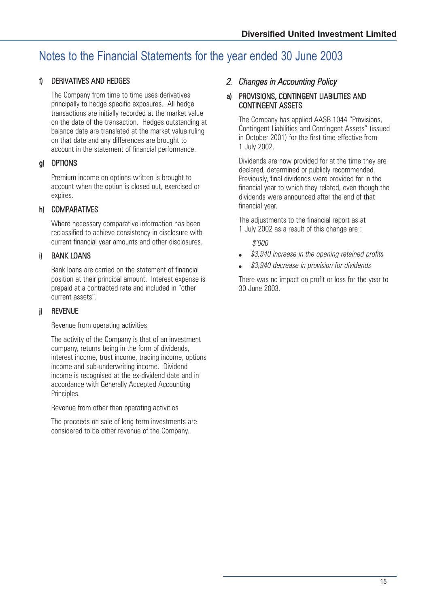### f) DERIVATIVES AND HEDGES

The Company from time to time uses derivatives principally to hedge specific exposures. All hedge transactions are initially recorded at the market value on the date of the transaction. Hedges outstanding at balance date are translated at the market value ruling on that date and any differences are brought to account in the statement of financial performance.

### g) OPTIONS

Premium income on options written is brought to account when the option is closed out, exercised or expires.

### h) COMPARATIVES

Where necessary comparative information has been reclassified to achieve consistency in disclosure with current financial year amounts and other disclosures.

### i) BANK LOANS

Bank loans are carried on the statement of financial position at their principal amount. Interest expense is prepaid at a contracted rate and included in "other current assets".

### j) REVENUE

Revenue from operating activities

The activity of the Company is that of an investment company, returns being in the form of dividends, interest income, trust income, trading income, options income and sub-underwriting income. Dividend income is recognised at the ex-dividend date and in accordance with Generally Accepted Accounting Principles.

Revenue from other than operating activities

The proceeds on sale of long term investments are considered to be other revenue of the Company.

### *2. Changes in Accounting Policy*

### a) PROVISIONS, CONTINGENT LIABILITIES AND CONTINGENT ASSETS

The Company has applied AASB 1044 "Provisions, Contingent Liabilities and Contingent Assets" (issued in October 2001) for the first time effective from 1 July 2002.

Dividends are now provided for at the time they are declared, determined or publicly recommended. Previously, final dividends were provided for in the financial year to which they related, even though the dividends were announced after the end of that financial year.

The adjustments to the financial report as at 1 July 2002 as a result of this change are :

*\$'000*

- \$3,940 increase in the opening retained profits
- \$3,940 decrease in provision for dividends

There was no impact on profit or loss for the year to 30 June 2003.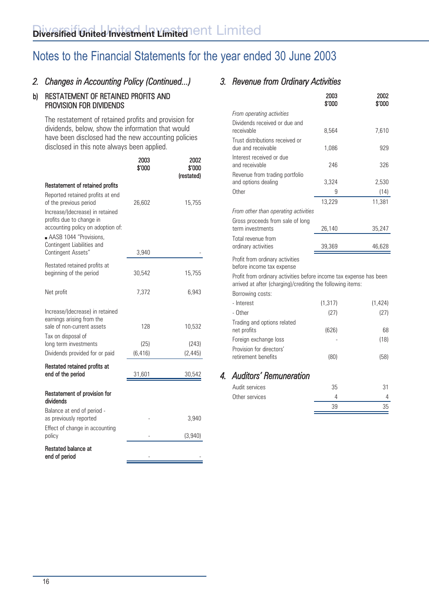### *2. Changes in Accounting Policy (Continued...)*

### b) RESTATEMENT OF RETAINED PROFITS AND PROVISION FOR DIVIDENDS

The restatement of retained profits and provision for dividends, below, show the information that would have been disclosed had the new accounting policies disclosed in this note always been applied.

|                                                                                                                            | 2003<br>\$'000 | 2002<br>\$'000<br>(restated) |
|----------------------------------------------------------------------------------------------------------------------------|----------------|------------------------------|
| Restatement of retained profits                                                                                            |                |                              |
| Reported retained profits at end<br>of the previous period                                                                 | 26,602         | 15,755                       |
| Increase/(decrease) in retained<br>profits due to change in<br>accounting policy on adoption of:<br>AASB 1044 "Provisions, |                |                              |
| Contingent Liabilities and                                                                                                 |                |                              |
| Contingent Assets"                                                                                                         | 3,940          |                              |
| Restated retained profits at<br>beginning of the period                                                                    | 30,542         | 15,755                       |
| Net profit                                                                                                                 | 7,372          | 6,943                        |
| Increase/(decrease) in retained<br>earnings arising from the<br>sale of non-current assets                                 | 128            | 10,532                       |
| Tax on disposal of                                                                                                         |                |                              |
| long term investments                                                                                                      | (25)           | (243)                        |
| Dividends provided for or paid                                                                                             | (6, 416)       | (2, 445)                     |
| Restated retained profits at<br>end of the period                                                                          | 31,601         | 30,542                       |
| Restatement of provision for<br>dividends                                                                                  |                |                              |
| Balance at end of period -<br>as previously reported                                                                       |                | 3,940                        |
| Effect of change in accounting<br>policy                                                                                   |                | (3,940)                      |
| <b>Restated balance at</b><br>end of period                                                                                |                |                              |

### *3. Revenue from Ordinary Activities*

|                                                                                                                                                      | 2003<br>\$'000 | 2002<br>\$'000 |
|------------------------------------------------------------------------------------------------------------------------------------------------------|----------------|----------------|
| From operating activities                                                                                                                            |                |                |
| Dividends received or due and<br>receivable                                                                                                          | 8,564          | 7,610          |
| Trust distributions received or<br>due and receivable                                                                                                | 1,086          | 929            |
| Interest received or due<br>and receivable                                                                                                           | 246            | 326            |
| Revenue from trading portfolio<br>and options dealing                                                                                                | 3,324          | 2,530          |
| Other                                                                                                                                                | 9              | (14)           |
|                                                                                                                                                      | 13,229         | 11,381         |
| From other than operating activities                                                                                                                 |                |                |
| Gross proceeds from sale of long<br>term investments                                                                                                 | 26,140         | 35,247         |
| Total revenue from<br>ordinary activities                                                                                                            | 39,369         | 46,628         |
| Profit from ordinary activities<br>before income tax expense                                                                                         |                |                |
| Profit from ordinary activities before income tax expense has been<br>arrived at after (charging)/crediting the following items:<br>Borrowing costs: |                |                |
| - Interest                                                                                                                                           | (1, 317)       | (1, 424)       |
| - Other                                                                                                                                              | (27)           | (27)           |
| Trading and options related<br>net profits                                                                                                           | (626)          | 68             |
| Foreign exchange loss                                                                                                                                |                | (18)           |
| Provision for directors'                                                                                                                             |                |                |
| retirement benefits                                                                                                                                  | (80)           | (58)           |
| <b>Auditors' Remuneration</b>                                                                                                                        |                |                |
| Audit services                                                                                                                                       | 35             | 31             |
| Other services                                                                                                                                       | 4              | 4              |
|                                                                                                                                                      | 39             | 35             |
|                                                                                                                                                      |                |                |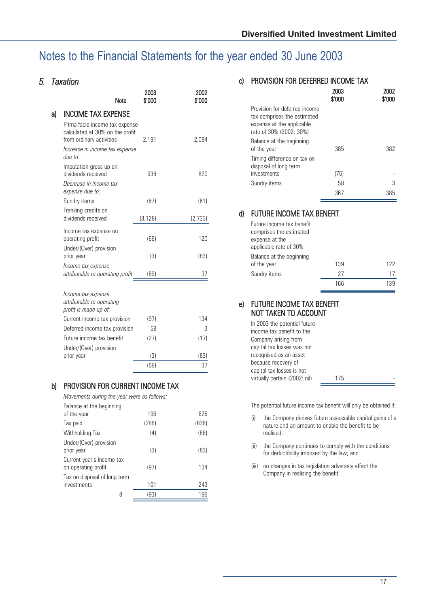### *5. Taxation*

|    | Note                                                                                                                            | 2003<br>\$'000 | 2002<br>\$'000 |
|----|---------------------------------------------------------------------------------------------------------------------------------|----------------|----------------|
| a) | <b>INCOME TAX EXPENSE</b>                                                                                                       |                |                |
|    | Prima facie income tax expense<br>calculated at 30% on the profit<br>from ordinary activities<br>Increase in income tax expense | 2,191          | 2,094          |
|    | due to:                                                                                                                         |                |                |
|    | Imputation gross up on<br>dividends received                                                                                    | 938            | 820            |
|    | Decrease in income tax<br>expense due to:                                                                                       |                |                |
|    | Sundry items                                                                                                                    | (67)           | (61)           |
|    | Franking credits on<br>dividends received                                                                                       | (3, 128)       | (2, 733)       |
|    | Income tax expense on<br>operating profit                                                                                       | (66)           | 120            |
|    | Under/(Over) provision<br>prior year                                                                                            | (3)            | (83)           |
|    | Income tax expense<br>attributable to operating profit                                                                          | (69)           | 37             |
|    | Income tax expense<br>attributable to operating<br>profit is made up of:                                                        |                |                |
|    | Current income tax provision                                                                                                    | (97)           | 134            |
|    | Deferred income tax provision                                                                                                   | 58             | 3              |
|    | Future income tax benefit                                                                                                       | (27)           | (17)           |
|    | Under/(Over) provision<br>prior year                                                                                            | (3)            | (83)           |
|    |                                                                                                                                 | (69)           | 37             |
|    |                                                                                                                                 |                |                |

### b) PROVISION FOR CURRENT INCOME TAX

*Movements during the year were as follows:*

| Balance at the beginning                         |       |       |
|--------------------------------------------------|-------|-------|
| of the year                                      | 196   | 626   |
| Tax paid                                         | (286) | (636) |
| Withholding Tax                                  | (4)   | (88)  |
| Under/(Over) provision                           |       |       |
| prior year                                       | (3)   | (83)  |
| Current year's income tax<br>on operating profit | (97)  | 134   |
| Tax on disposal of long term                     |       |       |
| investments                                      | 101   | 243   |
| 8                                                | (93)  | 196   |

### c) PROVISION FOR DEFERRED INCOME TAX

|                                                                                                                      | 2003<br>\$'000 | 2002<br>\$'000 |
|----------------------------------------------------------------------------------------------------------------------|----------------|----------------|
| Provision for deferred income<br>tax comprises the estimated<br>expense at the applicable<br>rate of 30% (2002: 30%) |                |                |
| Balance at the beginning<br>of the year                                                                              | 385            | 382            |
| Timing difference on tax on<br>disposal of long term                                                                 |                |                |
| investments                                                                                                          | (76)           |                |
| Sundry items                                                                                                         | 58             | 3              |
|                                                                                                                      | 367            | 385            |

### d) FUTURE INCOME TAX BENEFIT

| 139 | 122 |
|-----|-----|
| 27  | 17  |
| 166 | 130 |
|     |     |

#### e) FUTURE INCOME TAX BENEFIT NOT TAKEN TO ACCOUNT

| In 2003 the potential future  |     |  |
|-------------------------------|-----|--|
| income tax benefit to the     |     |  |
| Company arising from          |     |  |
| capital tax losses was not    |     |  |
| recognised as an asset        |     |  |
| because recovery of           |     |  |
| capital tax losses is not     |     |  |
| virtually certain (2002: nil) | 175 |  |

The potential future income tax benefit will only be obtained if:

- (i) the Company derives future assessable capital gains of a nature and an amount to enable the benefit to be realised;
- (ii) the Company continues to comply with the conditions for deductibility imposed by the law; and
- (iii) no changes in tax legislation adversely affect the Company in realising the benefit.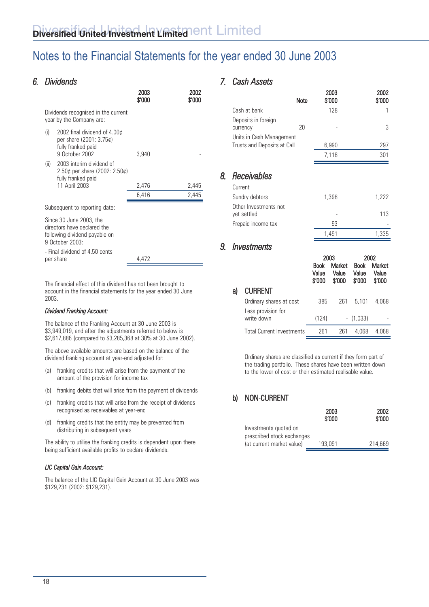### *6. Dividends*

|                                                                                                            | 2003<br>\$'000 | 2002<br>\$'000 |
|------------------------------------------------------------------------------------------------------------|----------------|----------------|
| Dividends recognised in the current<br>year by the Company are:                                            |                |                |
| 2002 final dividend of $4.00c$<br>(i)<br>per share (2001: 3.75¢)<br>fully franked paid<br>9 October 2002   | 3.940          |                |
| 2003 interim dividend of<br>(ii)<br>2.50¢ per share (2002: 2.50¢)<br>fully franked paid<br>11 April 2003   | 2,476          | 2,445          |
|                                                                                                            | 6,416          | 2,445          |
| Subsequent to reporting date:                                                                              |                |                |
| Since 30 June 2003, the<br>directors have declared the<br>following dividend payable on<br>9 October 2003: |                |                |
| - Final dividend of 4.50 cents<br>per share                                                                | 4.472          |                |

The financial effect of this dividend has not been brought to account in the financial statements for the year ended 30 June 2003.

#### *Dividend Franking Account:*

The balance of the Franking Account at 30 June 2003 is \$3,949,019, and after the adjustments referred to below is \$2,617,886 (compared to \$3,285,368 at 30% at 30 June 2002).

The above available amounts are based on the balance of the dividend franking account at year-end adjusted for:

- (a) franking credits that will arise from the payment of the amount of the provision for income tax
- (b) franking debits that will arise from the payment of dividends
- (c) franking credits that will arise from the receipt of dividends recognised as receivables at year-end
- (d) franking credits that the entity may be prevented from distributing in subsequent years

The ability to utilise the franking credits is dependent upon there being sufficient available profits to declare dividends.

#### *LIC Capital Gain Account:*

The balance of the LIC Capital Gain Account at 30 June 2003 was \$129,231 (2002: \$129,231).

### *7. Cash Assets*

|    |                                      | Note | 2003<br>\$'000 | 2002<br>\$'000 |
|----|--------------------------------------|------|----------------|----------------|
|    | Cash at bank                         |      | 128            | 1              |
|    | Deposits in foreign<br>currency      | 20   |                | 3              |
|    | Units in Cash Management             |      |                |                |
|    | Trusts and Deposits at Call          |      | 6,990          | 297            |
|    |                                      |      | 7,118          | 301            |
| 8. | Receivables                          |      |                |                |
|    | Current                              |      |                |                |
|    | Sundry debtors                       |      | 1,398          | 1,222          |
|    | Other Investments not<br>yet settled |      |                | 113            |
|    | Prepaid income tax                   |      | 93             |                |
|    |                                      |      | 1,491          | 1,335          |

### *9. Investments*

|                                  | 2003                    |                           |                         | 2002                      |
|----------------------------------|-------------------------|---------------------------|-------------------------|---------------------------|
|                                  | Book<br>Value<br>\$'000 | Market<br>Value<br>\$'000 | Book<br>Value<br>\$'000 | Market<br>Value<br>\$'000 |
| <b>CURRENT</b>                   |                         |                           |                         |                           |
| Ordinary shares at cost          | 385                     | 261                       | 5.101                   | 4.068                     |
| Less provision for<br>write down | (124)                   |                           | $-$ (1,033)             |                           |
| <b>Total Current Investments</b> | 261                     | 261                       | 4.068                   | 4.068                     |

Ordinary shares are classified as current if they form part of the trading portfolio. These shares have been written down to the lower of cost or their estimated realisable value.

### b) NON-CURRENT

|                                                     | 2003<br>\$'000 | 2002<br>\$'000 |
|-----------------------------------------------------|----------------|----------------|
| Investments quoted on<br>prescribed stock exchanges |                |                |
|                                                     |                |                |
| (at current market value)                           | 193.091        | 214.669        |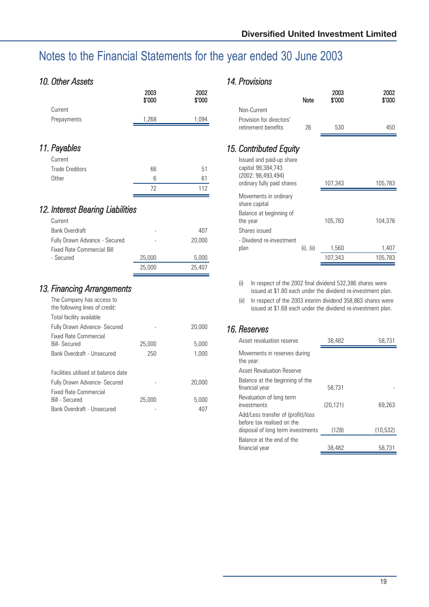### *10. Other Assets*

|                                                   | 2003<br>\$'000 | 2002<br>\$'000 |
|---------------------------------------------------|----------------|----------------|
| Current                                           |                |                |
| Prepayments                                       | 1,268          | 1,094          |
| 11. Payables<br>Current<br><b>Trade Creditors</b> | 66             | 51             |
| <b>Other</b>                                      | 6              | 61             |
|                                                   | 72             | 112            |

### *12. Interest Bearing Liabilities*

| Current                           |        |        |
|-----------------------------------|--------|--------|
| <b>Bank Overdraft</b>             |        | 407    |
| Fully Drawn Advance - Secured     |        | 20,000 |
| <b>Fixed Rate Commercial Bill</b> |        |        |
| - Secured                         | 25,000 | 5.000  |
|                                   | 25,000 | 25.407 |

### *13. Financing Arrangements*

| The Company has access to<br>the following lines of credit: |        |        |
|-------------------------------------------------------------|--------|--------|
| Total facility available                                    |        |        |
| Fully Drawn Advance- Secured                                |        | 20,000 |
| <b>Fixed Rate Commercial</b><br><b>Bill-Secured</b>         | 25,000 | 5.000  |
| Bank Overdraft - Unsecured                                  | 250    | 1.000  |
| Facilities utilised at balance date                         |        |        |
| Fully Drawn Advance- Secured                                |        | 20,000 |
| <b>Fixed Rate Commercial</b>                                |        |        |
| <b>Bill - Secured</b>                                       | 25,000 | 5.000  |
| Bank Overdraft - Unsecured                                  |        | 407    |

### *14. Provisions*

|                                                 | Note | 2003<br>\$'000 | 2002<br>\$'000 |
|-------------------------------------------------|------|----------------|----------------|
| Non-Current                                     |      |                |                |
| Provision for directors'<br>retirement benefits | 26   | 530            | 450            |

### *15. Contributed Equity*

| Issued and paid-up share<br>capital 99,384,743<br>(2002: 98, 493, 494)<br>ordinary fully paid shares |                | 107,343 | 105,783 |
|------------------------------------------------------------------------------------------------------|----------------|---------|---------|
| Movements in ordinary<br>share capital                                                               |                |         |         |
| Balance at beginning of<br>the year                                                                  |                | 105,783 | 104.376 |
| Shares issued<br>- Dividend re-investment                                                            |                |         |         |
| plan                                                                                                 | $(i)$ , $(ii)$ | 1.560   | 1,407   |
|                                                                                                      |                | 107,343 | 105,783 |

(i) In respect of the 2002 final dividend 532,386 shares were issued at \$1.80 each under the dividend re-investment plan.

(ii) In respect of the 2003 interim dividend 358,863 shares were issued at \$1.68 each under the dividend re-investment plan.

### *16. Reserves*

| Asset revaluation reserve                                                                             | 38,482    | 58,731    |
|-------------------------------------------------------------------------------------------------------|-----------|-----------|
| Movements in reserves during<br>the year:                                                             |           |           |
| <b>Asset Revaluation Reserve</b>                                                                      |           |           |
| Balance at the beginning of the<br>financial year                                                     | 58.731    |           |
| Revaluation of long term<br>investments                                                               | (20, 121) | 69.263    |
| Add/Less transfer of (profit)/loss<br>before tax realised on the<br>disposal of long term investments | (128)     | (10, 532) |
| Balance at the end of the<br>financial year                                                           | 38,482    | 58,731    |
|                                                                                                       |           |           |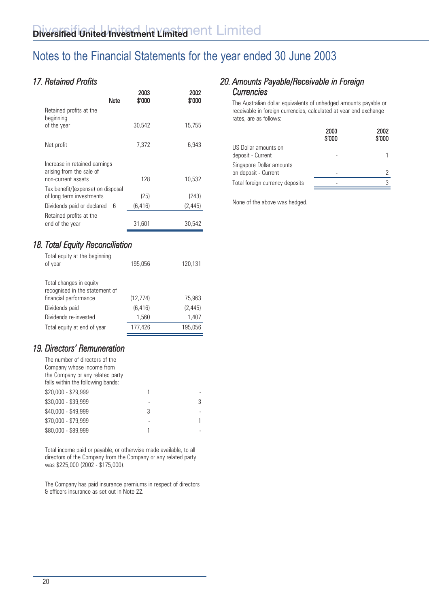### *17. Retained Profits*

| Note                                                          | 2003<br>\$'000 | 2002<br>\$'000 |
|---------------------------------------------------------------|----------------|----------------|
| Retained profits at the<br>beginning                          |                |                |
| of the year                                                   | 30.542         | 15,755         |
| Net profit                                                    | 7.372          | 6,943          |
| Increase in retained earnings<br>arising from the sale of     |                |                |
| non-current assets                                            | 128            | 10,532         |
| Tax benefit/(expense) on disposal<br>of long term investments | (25)           | (243)          |
| Dividends paid or declared<br>6                               | (6, 416)       | (2, 445)       |
| Retained profits at the                                       |                |                |
| end of the year                                               | 31,601         | 30,542         |

### *18. Total Equity Reconciliation*

| Total equity at the beginning<br>of year                  | 195,056   | 120,131  |
|-----------------------------------------------------------|-----------|----------|
| Total changes in equity<br>recognised in the statement of |           |          |
| financial performance                                     | (12, 774) | 75.963   |
| Dividends paid                                            | (6, 416)  | (2, 445) |
| Dividends re-invested                                     | 1,560     | 1,407    |
| Total equity at end of year                               | 177,426   | 195.056  |

### *19. Directors' Remuneration*

| The number of directors of the<br>Company whose income from<br>the Company or any related party |   |   |
|-------------------------------------------------------------------------------------------------|---|---|
| falls within the following bands:                                                               |   |   |
| \$20,000 - \$29,999                                                                             |   |   |
| \$30,000 - \$39,999                                                                             |   | 3 |
| \$40,000 - \$49,999                                                                             | 3 |   |
| \$70,000 - \$79,999                                                                             |   |   |
| \$80,000 - \$89,999                                                                             |   |   |

Total income paid or payable, or otherwise made available, to all directors of the Company from the Company or any related party was \$225,000 (2002 - \$175,000).

The Company has paid insurance premiums in respect of directors & officers insurance as set out in Note 22.

### *20. Amounts Payable/Receivable in Foreign Currencies*

The Australian dollar equivalents of unhedged amounts payable or receivable in foreign currencies, calculated at year end exchange rates, are as follows:

| 2003<br>\$'000 | 2002<br>\$'000 |
|----------------|----------------|
|                |                |
|                |                |
|                |                |
|                |                |
|                |                |
|                |                |

None of the above was hedged.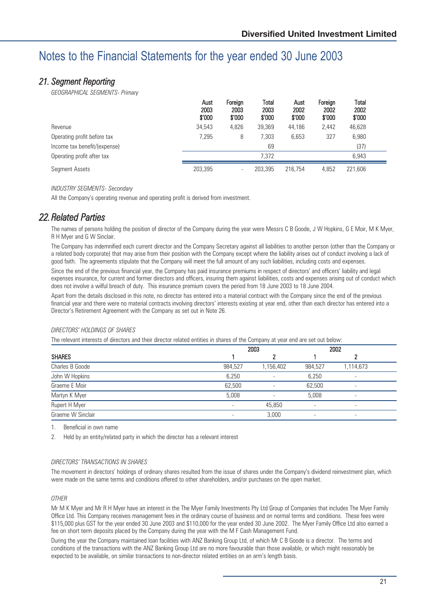### *21. Segment Reporting*

*GEOGRAPHICAL SEGMENTS- Primary*

|                              | Aust<br>2003<br>\$'000 | Foreign<br>2003<br>\$'000 | Total<br>2003<br>\$'000 | Aust<br>2002<br>\$'000 | Foreign<br>2002<br>\$'000 | <b>Total</b><br>2002<br>\$'000 |  |
|------------------------------|------------------------|---------------------------|-------------------------|------------------------|---------------------------|--------------------------------|--|
| Revenue                      | 34.543                 | 4,826                     | 39.369                  | 44.186                 | 2.442                     | 46,628                         |  |
| Operating profit before tax  | 7,295                  | 8                         | 7,303                   | 6,653                  | 327                       | 6,980                          |  |
| Income tax benefit/(expense) |                        |                           | 69                      |                        |                           | (37)                           |  |
| Operating profit after tax   |                        |                           | 7.372                   |                        |                           | 6.943                          |  |
| Segment Assets               | 203,395                | ٠                         | 203,395                 | 216.754                | 4,852                     | 221,606                        |  |

*INDUSTRY SEGMENTS- Secondary*

All the Company's operating revenue and operating profit is derived from investment.

### *22.Related Parties*

The names of persons holding the position of director of the Company during the year were Messrs C B Goode, J W Hopkins, G E Moir, M K Myer, R H Myer and G W Sinclair.

The Company has indemnified each current director and the Company Secretary against all liabilities to another person (other than the Company or a related body corporate) that may arise from their position with the Company except where the liability arises out of conduct involving a lack of good faith. The agreements stipulate that the Company will meet the full amount of any such liabilities, including costs and expenses.

Since the end of the previous financial year, the Company has paid insurance premiums in respect of directors' and officers' liability and legal expenses insurance, for current and former directors and officers, insuring them against liabilities, costs and expenses arising out of conduct which does not involve a wilful breach of duty. This insurance premium covers the period from 18 June 2003 to 18 June 2004.

Apart from the details disclosed in this note, no director has entered into a material contract with the Company since the end of the previous financial year and there were no material contracts involving directors' interests existing at year end, other than each director has entered into a Director's Retirement Agreement with the Company as set out in Note 26.

#### *DIRECTORS' HOLDINGS OF SHARES*

The relevant interests of directors and their director related entities in shares of the Company at year end are set out below:

|                   | 2003    |           |         | 2002      |
|-------------------|---------|-----------|---------|-----------|
| <b>SHARES</b>     |         |           |         |           |
| Charles B Goode   | 984.527 | 1,156,402 | 984.527 | 1,114,673 |
| John W Hopkins    | 6.250   | ٠         | 6.250   | ۰         |
| Graeme E Moir     | 62.500  | ٠         | 62.500  | ۰         |
| Martyn K Myer     | 5.008   |           | 5.008   |           |
| Rupert H Myer     |         | 45.850    | -       |           |
| Graeme W Sinclair |         | 3,000     |         |           |

1. Beneficial in own name

2. Held by an entity/related party in which the director has a relevant interest

#### *DIRECTORS' TRANSACTIONS IN SHARES*

The movement in directors' holdings of ordinary shares resulted from the issue of shares under the Company's dividend reinvestment plan, which were made on the same terms and conditions offered to other shareholders, and/or purchases on the open market.

#### *OTHER*

Mr M K Myer and Mr R H Myer have an interest in the The Myer Family Investments Pty Ltd Group of Companies that includes The Myer Family Office Ltd. This Company receives management fees in the ordinary course of business and on normal terms and conditions. These fees were \$115,000 plus GST for the year ended 30 June 2003 and \$110,000 for the year ended 30 June 2002. The Myer Family Office Ltd also earned a fee on short term deposits placed by the Company during the year with the M F Cash Management Fund.

During the year the Company maintained loan facilities with ANZ Banking Group Ltd, of which Mr C B Goode is a director. The terms and conditions of the transactions with the ANZ Banking Group Ltd are no more favourable than those available, or which might reasonably be expected to be available, on similar transactions to non-director related entities on an arm's length basis.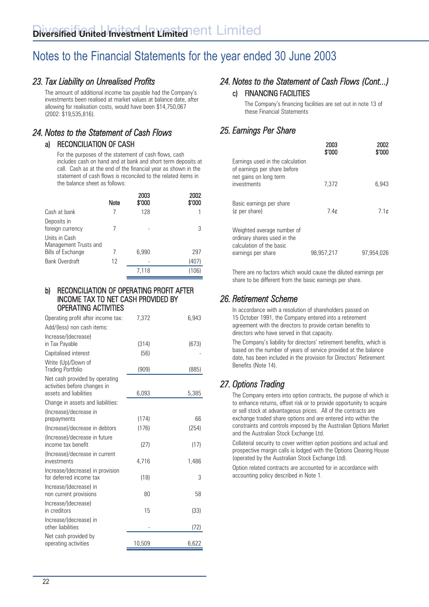### *23. Tax Liability on Unrealised Profits*

The amount of additional income tax payable had the Company's investments been realised at market values at balance date, after allowing for realisation costs, would have been \$14,750,067 (2002: \$19,535,816).

### *24. Notes to the Statement of Cash Flows* a) RECONCILIATION OF CASH

For the purposes of the statement of cash flows, cash includes cash on hand and at bank and short term deposits at call. Cash as at the end of the financial year as shown in the statement of cash flows is reconciled to the related items in the balance sheet as follows:

|                                        | <b>Note</b> | 2003<br>\$'000 | 2002<br>\$'000 |
|----------------------------------------|-------------|----------------|----------------|
| Cash at bank                           |             | 128            |                |
| Deposits in<br>foreign currency        | 7           |                | 3              |
| Units in Cash<br>Management Trusts and |             |                |                |
| <b>Bills of Exchange</b>               |             | 6.990          | 297            |
| <b>Bank Overdraft</b>                  | 12          |                | (407)          |
|                                        |             | 7.118          |                |

#### b) RECONCILIATION OF OPERATING PROFIT AFTER INCOME TAX TO NET CASH PROVIDED BY OPERATING ACTIVITIES

| Operating profit after income tax:                             | 7.372  | 6,943 |
|----------------------------------------------------------------|--------|-------|
| Add/(less) non cash items:                                     |        |       |
| Increase/(decrease)                                            |        |       |
| in Tax Payable                                                 | (314)  | (673) |
| Capitalised interest                                           | (56)   |       |
| Write (Up)/Down of                                             |        |       |
| <b>Trading Portfolio</b>                                       | (909)  | (885) |
| Net cash provided by operating<br>activities before changes in |        |       |
| assets and liabilities                                         | 6,093  | 5,385 |
| Change in assets and liabilities:                              |        |       |
| (Increase)/decrease in                                         |        |       |
| prepayments                                                    | (174)  | 66    |
| (Increase)/decrease in debtors                                 | (176)  | (254) |
| (Increase)/decrease in future                                  |        |       |
| income tax benefit                                             | (27)   | (17)  |
| (Increase)/decrease in current<br>investments                  | 4.716  |       |
|                                                                |        | 1,486 |
| Increase/(decrease) in provision<br>for deferred income tax    | (18)   | 3     |
| Increase/(decrease) in                                         |        |       |
| non current provisions                                         | 80     | 58    |
| Increase/(decrease)                                            |        |       |
| in creditors                                                   | 15     | (33)  |
| Increase/(decrease) in                                         |        |       |
| other liabilities                                              |        | (72)  |
| Net cash provided by                                           |        |       |
| operating activities                                           | 10,509 | 6,622 |

### *24. Notes to the Statement of Cash Flows (Cont...)*

### c) FINANCING FACILITIES

The Company's financing facilities are set out in note 13 of these Financial Statements

### *25. Earnings Per Share*

|                                                                                                             | 2003<br>\$'000   | 2002<br>\$'000   |
|-------------------------------------------------------------------------------------------------------------|------------------|------------------|
| Earnings used in the calculation<br>of earnings per share before<br>net gains on long term<br>investments   | 7.372            | 6,943            |
| Basic earnings per share<br>$(c)$ per share)                                                                | 7.4 <sub>c</sub> | 7.1 <sub>c</sub> |
| Weighted average number of<br>ordinary shares used in the<br>calculation of the basic<br>earnings per share | 98.957.217       | 97.954.026       |

There are no factors which would cause the diluted earnings per share to be different from the basic earnings per share.

### *26. Retirement Scheme*

In accordance with a resolution of shareholders passed on 15 October 1991, the Company entered into a retirement agreement with the directors to provide certain benefits to directors who have served in that capacity.

The Company's liability for directors' retirement benefits, which is based on the number of years of service provided at the balance date, has been included in the provision for Directors' Retirement Benefits (Note 14).

### *27. Options Trading*

The Company enters into option contracts, the purpose of which is to enhance returns, offset risk or to provide opportunity to acquire or sell stock at advantageous prices. All of the contracts are exchange traded share options and are entered into within the constraints and controls imposed by the Australian Options Market and the Australian Stock Exchange Ltd.

Collateral security to cover written option positions and actual and prospective margin calls is lodged with the Options Clearing House (operated by the Australian Stock Exchange Ltd).

Option related contracts are accounted for in accordance with accounting policy described in Note 1.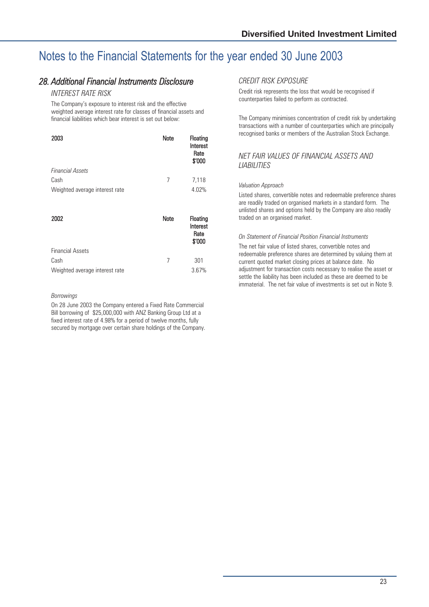### *28. Additional Financial Instruments Disclosure*

### *INTEREST RATE RISK*

The Company's exposure to interest risk and the effective weighted average interest rate for classes of financial assets and financial liabilities which bear interest is set out below:

| 2003                           | Note | Floating<br>Interest<br>Rate<br>\$'000 |
|--------------------------------|------|----------------------------------------|
| <b>Financial Assets</b>        |      |                                        |
| Cash                           | 7    | 7.118                                  |
| Weighted average interest rate |      | 4.02%                                  |

| 2002                           | Note | Floating<br>Interest<br>Rate<br>\$'000 |
|--------------------------------|------|----------------------------------------|
| <b>Financial Assets</b>        |      |                                        |
| Cash                           |      | 301                                    |
| Weighted average interest rate |      | 3.67%                                  |

#### *Borrowings*

On 28 June 2003 the Company entered a Fixed Rate Commercial Bill borrowing of \$25,000,000 with ANZ Banking Group Ltd at a fixed interest rate of 4.98% for a period of twelve months, fully secured by mortgage over certain share holdings of the Company.

#### *CREDIT RISK EXPOSURE*

Credit risk represents the loss that would be recognised if counterparties failed to perform as contracted.

The Company minimises concentration of credit risk by undertaking transactions with a number of counterparties which are principally recognised banks or members of the Australian Stock Exchange.

### *NET FAIR VALUES OF FINANCIAL ASSETS AND LIABILITIES*

#### *Valuation Approach*

Listed shares, convertible notes and redeemable preference shares are readily traded on organised markets in a standard form. The unlisted shares and options held by the Company are also readily traded on an organised market.

#### *On Statement of Financial Position Financial Instruments*

The net fair value of listed shares, convertible notes and redeemable preference shares are determined by valuing them at current quoted market closing prices at balance date. No adjustment for transaction costs necessary to realise the asset or settle the liability has been included as these are deemed to be immaterial. The net fair value of investments is set out in Note 9.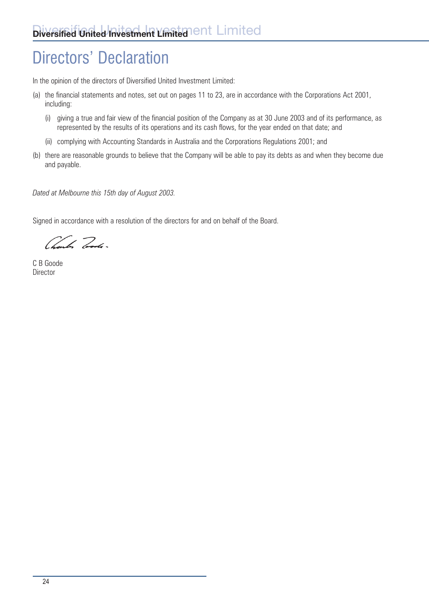## Directors' Declaration

In the opinion of the directors of Diversified United Investment Limited:

- (a) the financial statements and notes, set out on pages 11 to 23, are in accordance with the Corporations Act 2001, including:
	- (i) giving a true and fair view of the financial position of the Company as at 30 June 2003 and of its performance, as represented by the results of its operations and its cash flows, for the year ended on that date; and
	- (ii) complying with Accounting Standards in Australia and the Corporations Regulations 2001; and
- (b) there are reasonable grounds to believe that the Company will be able to pay its debts as and when they become due and payable.

*Dated at Melbourne this 15th day of August 2003.*

Signed in accordance with a resolution of the directors for and on behalf of the Board.

Charles Tools.

C B Goode **Director**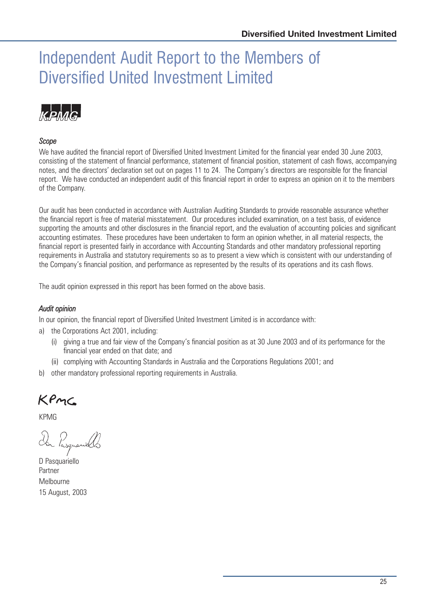## Independent Audit Report to the Members of Diversified United Investment Limited



### *Scope*

We have audited the financial report of Diversified United Investment Limited for the financial year ended 30 June 2003, consisting of the statement of financial performance, statement of financial position, statement of cash flows, accompanying notes, and the directors' declaration set out on pages 11 to 24. The Company's directors are responsible for the financial report. We have conducted an independent audit of this financial report in order to express an opinion on it to the members of the Company.

Our audit has been conducted in accordance with Australian Auditing Standards to provide reasonable assurance whether the financial report is free of material misstatement. Our procedures included examination, on a test basis, of evidence supporting the amounts and other disclosures in the financial report, and the evaluation of accounting policies and significant accounting estimates. These procedures have been undertaken to form an opinion whether, in all material respects, the financial report is presented fairly in accordance with Accounting Standards and other mandatory professional reporting requirements in Australia and statutory requirements so as to present a view which is consistent with our understanding of the Company's financial position, and performance as represented by the results of its operations and its cash flows.

The audit opinion expressed in this report has been formed on the above basis.

### *Audit opinion*

In our opinion, the financial report of Diversified United Investment Limited is in accordance with:

- a) the Corporations Act 2001, including:
	- (i) giving a true and fair view of the Company's financial position as at 30 June 2003 and of its performance for the financial year ended on that date; and
	- (ii) complying with Accounting Standards in Australia and the Corporations Regulations 2001; and
- b) other mandatory professional reporting requirements in Australia.

**KPMC** 

KPMG

Der Pasquarello

D Pasquariello Partner Melbourne 15 August, 2003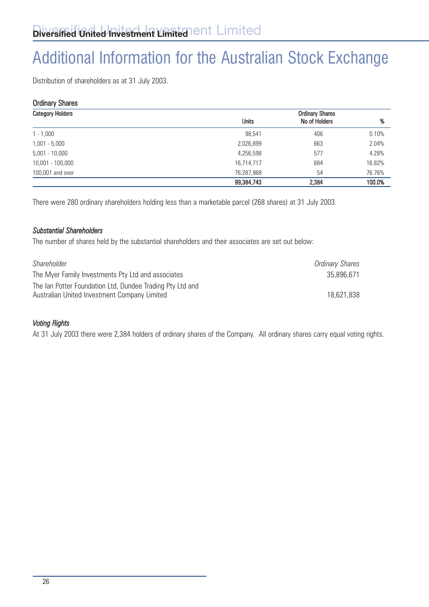## Additional Information for the Australian Stock Exchange

Distribution of shareholders as at 31 July 2003.

| <b>Ordinary Shares</b>  |                                                              |       |        |  |
|-------------------------|--------------------------------------------------------------|-------|--------|--|
| <b>Category Holders</b> | <b>Ordinary Shares</b><br>%<br><b>Units</b><br>No of Holders |       |        |  |
| $1 - 1,000$             | 98,541                                                       | 406   | 0.10%  |  |
| $1,001 - 5,000$         | 2,026,899                                                    | 663   | 2.04%  |  |
| $5,001 - 10,000$        | 4,256,598                                                    | 577   | 4.28%  |  |
| $10,001 - 100,000$      | 16,714,717                                                   | 684   | 16.82% |  |
| 100,001 and over        | 76,287,988                                                   | 54    | 76.76% |  |
|                         | 99,384,743                                                   | 2.384 | 100.0% |  |

There were 280 ordinary shareholders holding less than a marketable parcel (268 shares) at 31 July 2003.

### *Substantial Shareholders*

The number of shares held by the substantial shareholders and their associates are set out below:

| Shareholder                                               | Ordinary Shares |
|-----------------------------------------------------------|-----------------|
| The Myer Family Investments Pty Ltd and associates        | 35.896.671      |
| The Ian Potter Foundation Ltd, Dundee Trading Pty Ltd and |                 |
| Australian United Investment Company Limited              | 18.621.838      |

### *Voting Rights*

At 31 July 2003 there were 2,384 holders of ordinary shares of the Company. All ordinary shares carry equal voting rights.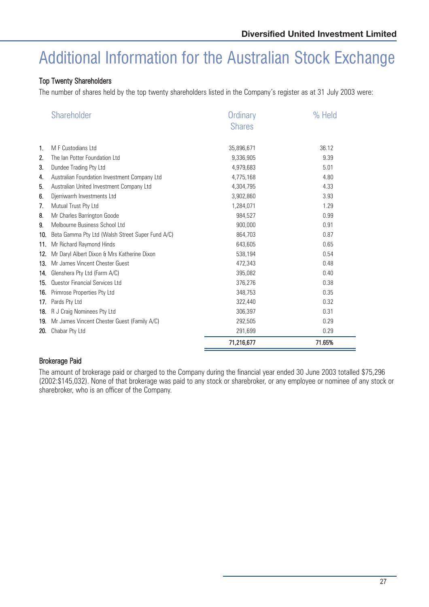## Additional Information for the Australian Stock Exchange

### Top Twenty Shareholders

The number of shares held by the top twenty shareholders listed in the Company's register as at 31 July 2003 were:

|     | <b>Shareholder</b>                               | Ordinary      | % Held |
|-----|--------------------------------------------------|---------------|--------|
|     |                                                  | <b>Shares</b> |        |
|     |                                                  |               |        |
| 1.  | M F Custodians Ltd                               | 35,896,671    | 36.12  |
| 2.  | The Ian Potter Foundation Ltd                    | 9,336,905     | 9.39   |
| 3.  | Dundee Trading Pty Ltd                           | 4.979.683     | 5.01   |
| 4.  | Australian Foundation Investment Company Ltd     | 4,775,168     | 4.80   |
| 5.  | Australian United Investment Company Ltd         | 4,304,795     | 4.33   |
| 6.  | Dierriwarrh Investments Ltd                      | 3,902,860     | 3.93   |
| 7.  | Mutual Trust Pty Ltd                             | 1,284,071     | 1.29   |
| 8.  | Mr Charles Barrington Goode                      | 984,527       | 0.99   |
| 9.  | Melbourne Business School Ltd                    | 900,000       | 0.91   |
| 10. | Beta Gamma Pty Ltd (Walsh Street Super Fund A/C) | 864,703       | 0.87   |
| 11. | Mr Richard Raymond Hinds                         | 643,605       | 0.65   |
| 12. | Mr Daryl Albert Dixon & Mrs Katherine Dixon      | 538.194       | 0.54   |
| 13. | Mr James Vincent Chester Guest                   | 472,343       | 0.48   |
| 14. | Glenshera Pty Ltd (Farm A/C)                     | 395,082       | 0.40   |
| 15. | <b>Questor Financial Services Ltd</b>            | 376.276       | 0.38   |
| 16. | Primrose Properties Pty Ltd                      | 348,753       | 0.35   |
| 17. | Pards Pty Ltd                                    | 322,440       | 0.32   |
| 18. | R J Craig Nominees Pty Ltd                       | 306,397       | 0.31   |
| 19. | Mr James Vincent Chester Guest (Family A/C)      | 292,505       | 0.29   |
| 20. | Chabar Pty Ltd                                   | 291,699       | 0.29   |
|     |                                                  | 71,216,677    | 71.65% |

### Brokerage Paid

The amount of brokerage paid or charged to the Company during the financial year ended 30 June 2003 totalled \$75,296 (2002:\$145,032). None of that brokerage was paid to any stock or sharebroker, or any employee or nominee of any stock or sharebroker, who is an officer of the Company.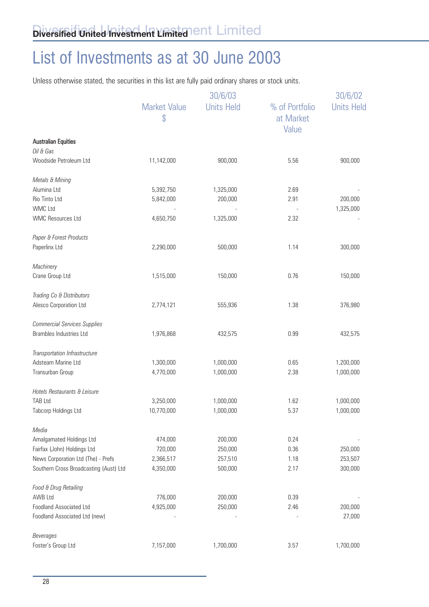## List of Investments as at 30 June 2003

Unless otherwise stated, the securities in this list are fully paid ordinary shares or stock units.

|                                        | 30/6/03                   |                   | 30/6/02                              |                   |
|----------------------------------------|---------------------------|-------------------|--------------------------------------|-------------------|
|                                        | <b>Market Value</b><br>\$ | <b>Units Held</b> | % of Portfolio<br>at Market<br>Value | <b>Units Held</b> |
| <b>Australian Equities</b>             |                           |                   |                                      |                   |
| Oil & Gas                              |                           |                   |                                      |                   |
| Woodside Petroleum Ltd                 | 11,142,000                | 900,000           | 5.56                                 | 900,000           |
| Metals & Mining                        |                           |                   |                                      |                   |
| Alumina Ltd                            | 5,392,750                 | 1,325,000         | 2.69                                 |                   |
| Rio Tinto Ltd                          | 5,842,000                 | 200,000           | 2.91                                 | 200,000           |
| <b>WMC Ltd</b>                         |                           |                   |                                      | 1,325,000         |
| <b>WMC Resources Ltd</b>               | 4,650,750                 | 1,325,000         | 2.32                                 |                   |
| Paper & Forest Products                |                           |                   |                                      |                   |
| Paperlinx Ltd                          | 2,290,000                 | 500,000           | 1.14                                 | 300,000           |
| Machinery                              |                           |                   |                                      |                   |
| Crane Group Ltd                        | 1,515,000                 | 150,000           | 0.76                                 | 150,000           |
| Trading Co & Distributors              |                           |                   |                                      |                   |
| Alesco Corporation Ltd                 | 2,774,121                 | 555,936           | 1.38                                 | 376,980           |
| <b>Commercial Services Supplies</b>    |                           |                   |                                      |                   |
| Brambles Industries Ltd                | 1,976,868                 | 432,575           | 0.99                                 | 432,575           |
| Transportation Infrastructure          |                           |                   |                                      |                   |
| Adsteam Marine Ltd                     | 1,300,000                 | 1,000,000         | 0.65                                 | 1,200,000         |
| Transurban Group                       | 4,770,000                 | 1,000,000         | 2.38                                 | 1,000,000         |
| Hotels Restaurants & Leisure           |                           |                   |                                      |                   |
| <b>TAB Ltd</b>                         | 3,250,000                 | 1,000,000         | 1.62                                 | 1,000,000         |
| Tabcorp Holdings Ltd                   | 10,770,000                | 1,000,000         | 5.37                                 | 1,000,000         |
| Media                                  |                           |                   |                                      |                   |
| Amalgamated Holdings Ltd               | 474,000                   | 200,000           | 0.24                                 |                   |
| Fairfax (John) Holdings Ltd            | 720,000                   | 250,000           | 0.36                                 | 250,000           |
| News Corporation Ltd (The) - Prefs     | 2,366,517                 | 257,510           | 1.18                                 | 253,507           |
| Southern Cross Broadcasting (Aust) Ltd | 4,350,000                 | 500,000           | 2.17                                 | 300,000           |
| Food & Drug Retailing                  |                           |                   |                                      |                   |
| AWB Ltd                                | 776,000                   | 200,000           | 0.39                                 |                   |
| Foodland Associated Ltd                | 4,925,000                 | 250,000           | 2.46                                 | 200,000           |
| Foodland Associated Ltd (new)          |                           |                   |                                      | 27,000            |
| Beverages                              |                           |                   |                                      |                   |
| Foster's Group Ltd                     | 7,157,000                 | 1,700,000         | 3.57                                 | 1,700,000         |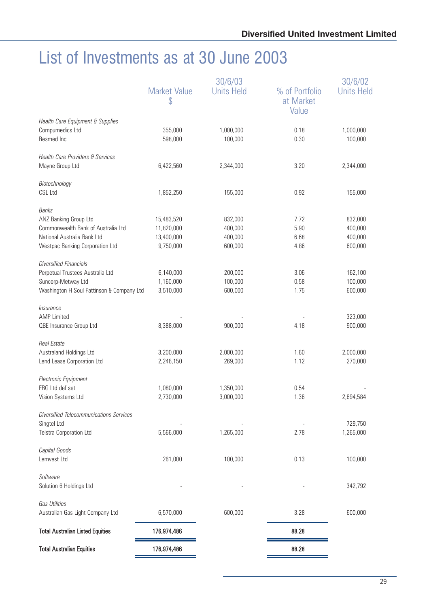## List of Investments as at 30 June 2003

| <b>Total Australian Equities</b>                                                                           | 176,974,486                            |                               | 88.28                                |                               |
|------------------------------------------------------------------------------------------------------------|----------------------------------------|-------------------------------|--------------------------------------|-------------------------------|
| <b>Total Australian Listed Equities</b>                                                                    | 176,974,486                            |                               | 88.28                                |                               |
| <b>Gas Utilities</b><br>Australian Gas Light Company Ltd                                                   | 6,570,000                              | 600,000                       | 3.28                                 | 600,000                       |
| Software<br>Solution 6 Holdings Ltd                                                                        |                                        |                               |                                      | 342,792                       |
| Capital Goods<br>Lemvest Ltd                                                                               | 261,000                                | 100,000                       | 0.13                                 | 100,000                       |
| Singtel Ltd<br><b>Telstra Corporation Ltd</b>                                                              | 5,566,000                              | 1,265,000                     | 2.78                                 | 729,750<br>1,265,000          |
| <b>Diversified Telecommunications Services</b>                                                             |                                        |                               |                                      |                               |
| Electronic Equipment<br>ERG Ltd def set<br>Vision Systems Ltd                                              | 1,080,000<br>2,730,000                 | 1,350,000<br>3,000,000        | 0.54<br>1.36                         | 2,694,584                     |
| Australand Holdings Ltd<br>Lend Lease Corporation Ltd                                                      | 3,200,000<br>2,246,150                 | 2,000,000<br>269,000          | 1.60<br>1.12                         | 2,000,000<br>270,000          |
| <b>Real Estate</b>                                                                                         |                                        |                               |                                      |                               |
| Insurance<br><b>AMP</b> Limited<br><b>QBE Insurance Group Ltd</b>                                          | 8,388,000                              | 900,000                       | 4.18                                 | 323,000<br>900,000            |
| Washington H Soul Pattinson & Company Ltd                                                                  | 3,510,000                              | 600,000                       | 1.75                                 | 600,000                       |
| <b>Diversified Financials</b><br>Perpetual Trustees Australia Ltd<br>Suncorp-Metway Ltd                    | 6,140,000<br>1,160,000                 | 200,000<br>100,000            | 3.06<br>0.58                         | 162,100<br>100,000            |
| Westpac Banking Corporation Ltd                                                                            | 9,750,000                              | 600,000                       | 4.86                                 | 600,000                       |
| <b>Banks</b><br>ANZ Banking Group Ltd<br>Commonwealth Bank of Australia Ltd<br>National Australia Bank Ltd | 15,483,520<br>11,820,000<br>13,400,000 | 832,000<br>400,000<br>400,000 | 7.72<br>5.90<br>6.68                 | 832,000<br>400,000<br>400,000 |
| Biotechnology<br>CSL Ltd                                                                                   | 1,852,250                              | 155,000                       | 0.92                                 | 155,000                       |
| <b>Health Care Providers &amp; Services</b><br>Mayne Group Ltd                                             | 6,422,560                              | 2,344,000                     | 3.20                                 | 2,344,000                     |
| Health Care Equipment & Supplies<br>Compumedics Ltd<br>Resmed Inc                                          | 355,000<br>598,000                     | 1,000,000<br>100,000          | 0.18<br>0.30                         | 1,000,000<br>100,000          |
|                                                                                                            | <b>Market Value</b><br>\$              | 30/6/03<br><b>Units Held</b>  | % of Portfolio<br>at Market<br>Value | 30/6/02<br><b>Units Held</b>  |
|                                                                                                            |                                        |                               |                                      |                               |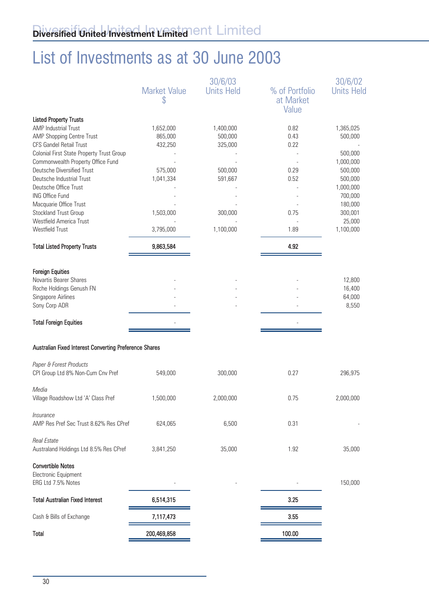## List of Investments as at 30 June 2003

|                                                        |                           | 30/6/03           |                                      | 30/6/02           |
|--------------------------------------------------------|---------------------------|-------------------|--------------------------------------|-------------------|
|                                                        | <b>Market Value</b><br>\$ | <b>Units Held</b> | % of Portfolio<br>at Market<br>Value | <b>Units Held</b> |
| <b>Listed Property Trusts</b>                          |                           |                   |                                      |                   |
| <b>AMP</b> Industrial Trust                            | 1,652,000                 | 1,400,000         | 0.82                                 | 1,365,025         |
| AMP Shopping Centre Trust                              | 865,000                   | 500,000           | 0.43                                 | 500,000           |
| CFS Gandel Retail Trust                                | 432,250                   | 325,000           | 0.22                                 |                   |
| Colonial First State Property Trust Group              |                           |                   |                                      | 500,000           |
| Commonwealth Property Office Fund                      |                           |                   |                                      | 1,000,000         |
| Deutsche Diversified Trust                             | 575,000                   | 500,000           | 0.29                                 | 500,000           |
| Deutsche Industrial Trust                              | 1,041,334                 | 591,667           | 0.52                                 | 500,000           |
| Deutsche Office Trust                                  |                           |                   |                                      | 1,000,000         |
| <b>ING Office Fund</b>                                 |                           |                   |                                      | 700,000           |
| Macquarie Office Trust                                 |                           |                   |                                      | 180,000           |
| Stockland Trust Group                                  | 1,503,000                 | 300,000           | 0.75                                 | 300,001           |
| Westfield America Trust                                |                           |                   |                                      | 25,000            |
| Westfield Trust                                        | 3,795,000                 | 1,100,000         | 1.89                                 | 1,100,000         |
| <b>Total Listed Property Trusts</b>                    | 9,863,584                 |                   | 4.92                                 |                   |
| <b>Foreign Equities</b>                                |                           |                   |                                      |                   |
| Novartis Bearer Shares                                 |                           |                   |                                      | 12,800            |
| Roche Holdings Genush FN                               |                           |                   |                                      | 16,400            |
| Singapore Airlines                                     |                           |                   |                                      | 64,000            |
| Sony Corp ADR                                          |                           |                   |                                      | 8,550             |
| <b>Total Foreign Equities</b>                          |                           |                   |                                      |                   |
| Australian Fixed Interest Converting Preference Shares |                           |                   |                                      |                   |
| Paper & Forest Products                                |                           |                   |                                      |                   |
| CPI Group Ltd 8% Non-Cum Cnv Pref                      | 549,000                   | 300,000           | 0.27                                 | 296,975           |
| Media<br>Village Roadshow Ltd 'A' Class Pref           | 1,500,000                 | 2,000,000         | 0.75                                 | 2,000,000         |
|                                                        |                           |                   |                                      |                   |
| Insurance<br>AMP Res Pref Sec Trust 8.62% Res CPref    | 624,065                   | 6,500             | 0.31                                 |                   |
| <b>Real Estate</b>                                     |                           |                   |                                      |                   |
| Australand Holdings Ltd 8.5% Res CPref                 | 3,841,250                 | 35,000            | 1.92                                 | 35,000            |
| <b>Convertible Notes</b>                               |                           |                   |                                      |                   |
| Electronic Equipment<br>ERG Ltd 7.5% Notes             |                           |                   |                                      | 150,000           |
| <b>Total Australian Fixed Interest</b>                 | 6,514,315                 |                   | 3.25                                 |                   |
| Cash & Bills of Exchange                               | 7,117,473                 |                   | 3.55                                 |                   |
| Total                                                  | 200,469,858               |                   | 100.00                               |                   |
|                                                        |                           |                   |                                      |                   |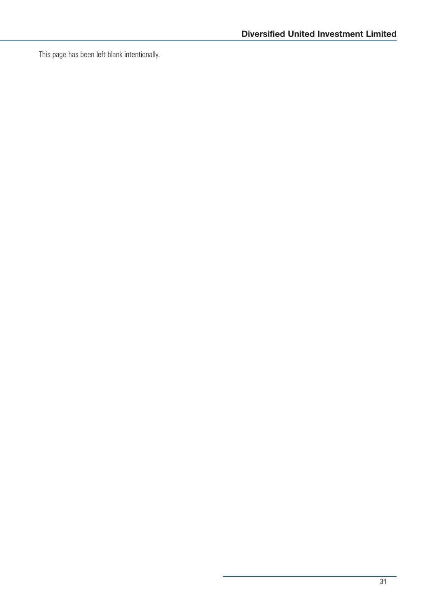This page has been left blank intentionally.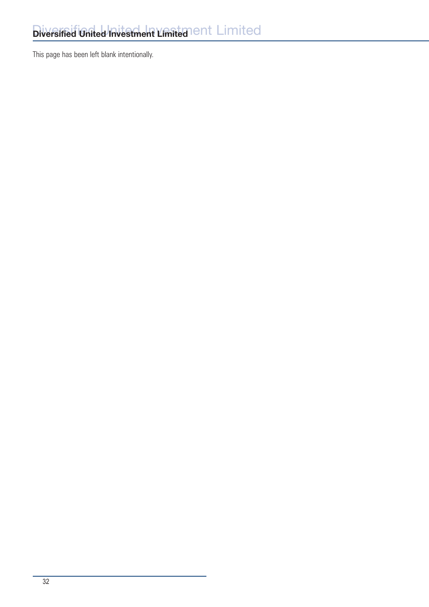This page has been left blank intentionally.